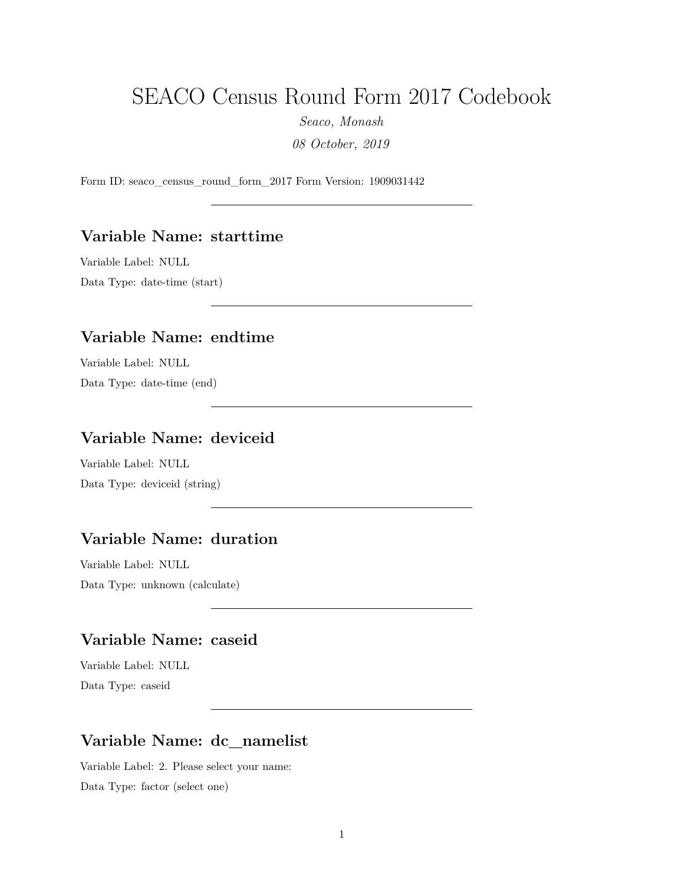# SEACO Census Round Form 2017 Codebook

*Seaco, Monash*

*08 October, 2019*

Form ID: seaco\_census\_round\_form\_2017 Form Version: 1909031442

#### **Variable Name: starttime**

Variable Label: NULL Data Type: date-time (start)

#### **Variable Name: endtime**

Variable Label: NULL Data Type: date-time (end)

# **Variable Name: deviceid**

Variable Label: NULL Data Type: deviceid (string)

# **Variable Name: duration**

Variable Label: NULL Data Type: unknown (calculate)

# **Variable Name: caseid**

Variable Label: NULL Data Type: caseid

# **Variable Name: dc\_namelist**

Variable Label: 2. Please select your name: Data Type: factor (select one)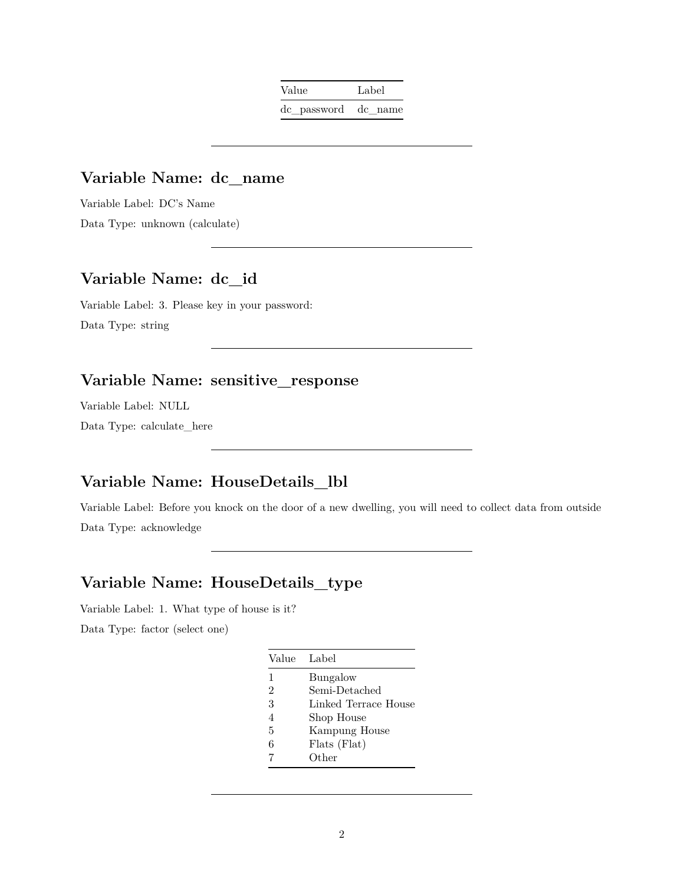| Value               | Label |
|---------------------|-------|
| de password de name |       |

### **Variable Name: dc\_name**

Variable Label: DC's Name Data Type: unknown (calculate)

# **Variable Name: dc\_id**

Variable Label: 3. Please key in your password: Data Type: string

#### **Variable Name: sensitive\_response**

Variable Label: NULL Data Type: calculate\_here

# **Variable Name: HouseDetails\_lbl**

Variable Label: Before you knock on the door of a new dwelling, you will need to collect data from outside Data Type: acknowledge

# **Variable Name: HouseDetails\_type**

Variable Label: 1. What type of house is it? Data Type: factor (select one)

| Value                    | Label                |
|--------------------------|----------------------|
| $\mathbf{1}$             | Bungalow             |
| $\mathfrak{D}$           | Semi-Detached        |
| 3                        | Linked Terrace House |
| $\overline{\mathcal{A}}$ | Shop House           |
| 5                        | Kampung House        |
| 6                        | Flats (Flat)         |
|                          | Other                |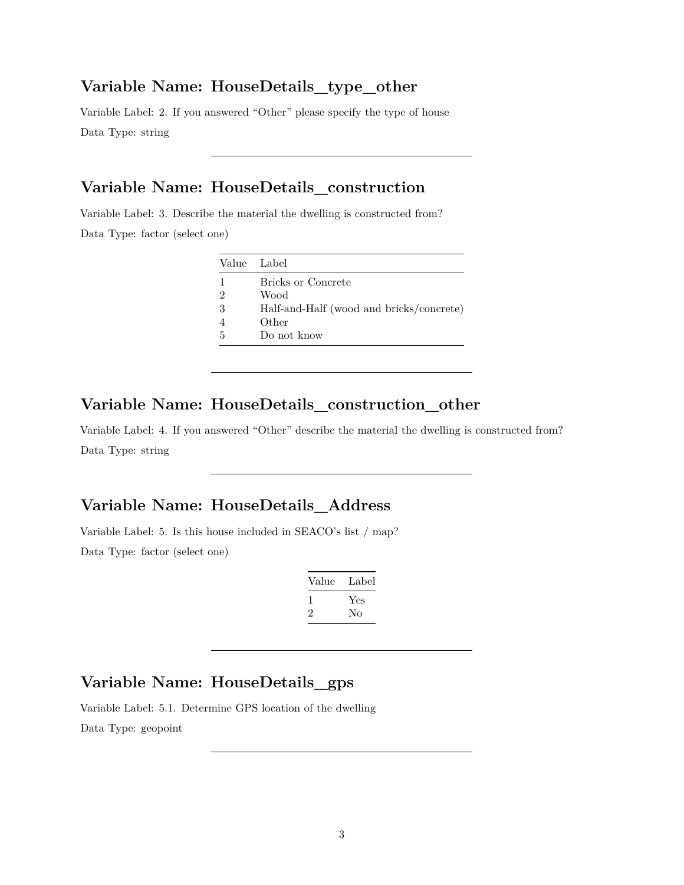#### **Variable Name: HouseDetails\_type\_other**

Variable Label: 2. If you answered "Other" please specify the type of house Data Type: string

# **Variable Name: HouseDetails\_construction**

Variable Label: 3. Describe the material the dwelling is constructed from?

Data Type: factor (select one)

| Value Label    |                                          |
|----------------|------------------------------------------|
| 1              | Bricks or Concrete                       |
| $\overline{2}$ | Wood                                     |
| 3              | Half-and-Half (wood and bricks/concrete) |
| $\overline{4}$ | Other                                    |
| .5             | Do not know                              |

### **Variable Name: HouseDetails\_construction\_other**

Variable Label: 4. If you answered "Other" describe the material the dwelling is constructed from? Data Type: string

# **Variable Name: HouseDetails\_Address**

Variable Label: 5. Is this house included in SEACO's list / map? Data Type: factor (select one)

| Value        | Label |
|--------------|-------|
| $\mathbf{I}$ | Yes   |
| ۰,           | Nο    |

### **Variable Name: HouseDetails\_gps**

Variable Label: 5.1. Determine GPS location of the dwelling Data Type: geopoint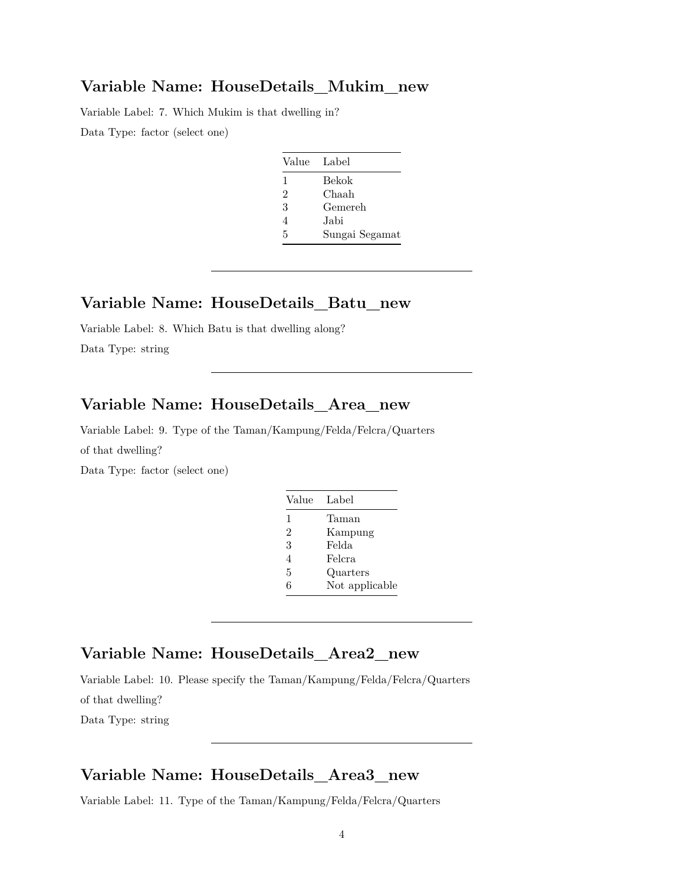#### **Variable Name: HouseDetails\_Mukim\_new**

Variable Label: 7. Which Mukim is that dwelling in? Data Type: factor (select one)

| Value        | Label          |
|--------------|----------------|
| $\mathbf{1}$ | Bekok          |
| 2            | Chaah          |
| 3            | Gemereh        |
| 4            | Jabi           |
| 5            | Sungai Segamat |

### **Variable Name: HouseDetails\_Batu\_new**

Variable Label: 8. Which Batu is that dwelling along? Data Type: string

### **Variable Name: HouseDetails\_Area\_new**

Variable Label: 9. Type of the Taman/Kampung/Felda/Felcra/Quarters of that dwelling?

Data Type: factor (select one)

| Value          | Label          |
|----------------|----------------|
| 1              | Taman          |
| $\mathfrak{D}$ | Kampung        |
| 3              | Felda          |
| 4              | Felcra         |
| 5              | Quarters       |
| հ              | Not applicable |

# **Variable Name: HouseDetails\_Area2\_new**

Variable Label: 10. Please specify the Taman/Kampung/Felda/Felcra/Quarters

of that dwelling?

Data Type: string

#### **Variable Name: HouseDetails\_Area3\_new**

Variable Label: 11. Type of the Taman/Kampung/Felda/Felcra/Quarters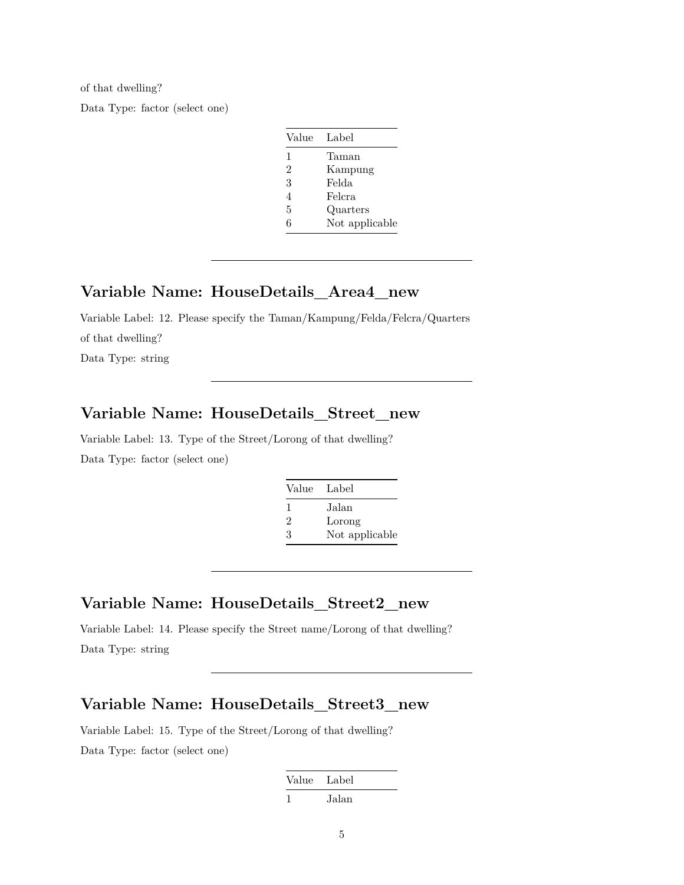of that dwelling? Data Type: factor (select one)

| Value          | Label          |
|----------------|----------------|
| 1              | Taman          |
| $\overline{2}$ | Kampung        |
| 3              | Felda          |
| 4              | Felcra         |
| 5              | Quarters       |
| 6              | Not applicable |

#### **Variable Name: HouseDetails\_Area4\_new**

Variable Label: 12. Please specify the Taman/Kampung/Felda/Felcra/Quarters of that dwelling? Data Type: string

#### **Variable Name: HouseDetails\_Street\_new**

Variable Label: 13. Type of the Street/Lorong of that dwelling? Data Type: factor (select one)

| Value Label |                |
|-------------|----------------|
| ı.          | Jalan          |
| 2           | Lorong         |
| 3           | Not applicable |

### **Variable Name: HouseDetails\_Street2\_new**

Variable Label: 14. Please specify the Street name/Lorong of that dwelling? Data Type: string

#### **Variable Name: HouseDetails\_Street3\_new**

Variable Label: 15. Type of the Street/Lorong of that dwelling? Data Type: factor (select one)

| Value | Label |
|-------|-------|
|       | Jalan |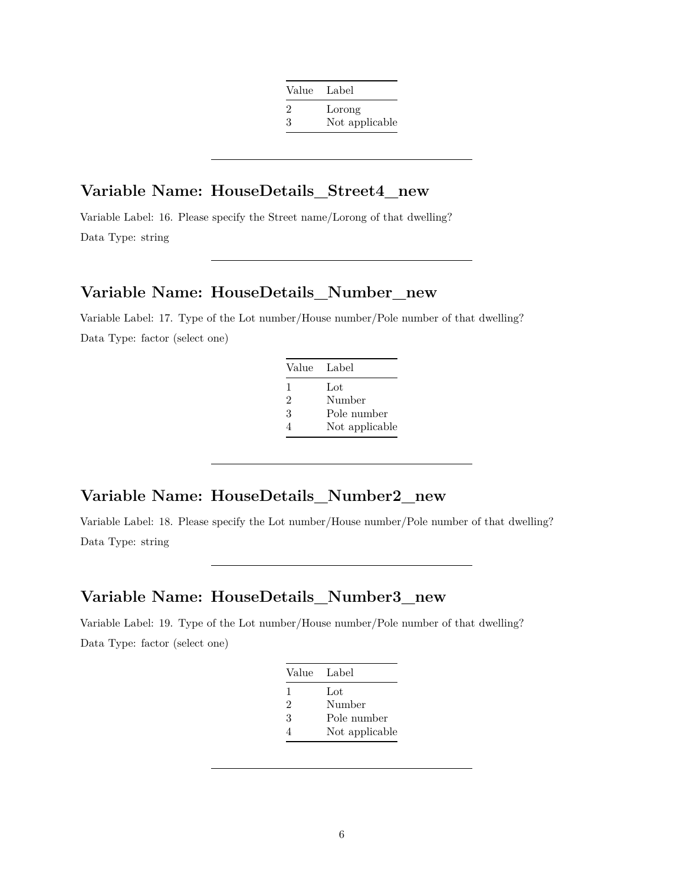| Value | - Label        |
|-------|----------------|
| 2     | Lorong         |
| 3     | Not applicable |

#### **Variable Name: HouseDetails\_Street4\_new**

Variable Label: 16. Please specify the Street name/Lorong of that dwelling? Data Type: string

#### **Variable Name: HouseDetails\_Number\_new**

Variable Label: 17. Type of the Lot number/House number/Pole number of that dwelling? Data Type: factor (select one)

| Value Label    |                |
|----------------|----------------|
| 1              | Lot            |
| $\mathfrak{D}$ | Number         |
| 3              | Pole number    |
|                | Not applicable |

# **Variable Name: HouseDetails\_Number2\_new**

Variable Label: 18. Please specify the Lot number/House number/Pole number of that dwelling? Data Type: string

## **Variable Name: HouseDetails\_Number3\_new**

Variable Label: 19. Type of the Lot number/House number/Pole number of that dwelling? Data Type: factor (select one)

| Value          | - Label        |
|----------------|----------------|
| 1              | Lot            |
| $\mathfrak{D}$ | Number         |
| 3              | Pole number    |
| 4              | Not applicable |
|                |                |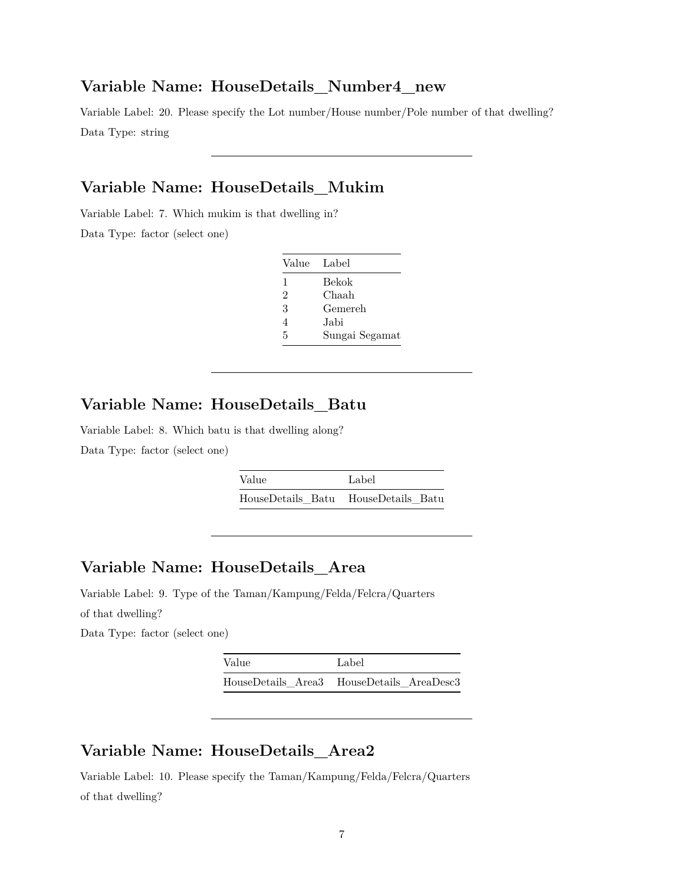#### **Variable Name: HouseDetails\_Number4\_new**

Variable Label: 20. Please specify the Lot number/House number/Pole number of that dwelling? Data Type: string

# **Variable Name: HouseDetails\_Mukim**

Variable Label: 7. Which mukim is that dwelling in?

Data Type: factor (select one)

| Value Label |                |
|-------------|----------------|
| 1           | Bekok          |
| 2           | Chaah          |
| 3           | Gemereh        |
| 4           | Jabi           |
| 5           | Sungai Segamat |

#### **Variable Name: HouseDetails\_Batu**

Variable Label: 8. Which batu is that dwelling along? Data Type: factor (select one)

| Value | Label                               |
|-------|-------------------------------------|
|       | HouseDetails Batu HouseDetails Batu |

# **Variable Name: HouseDetails\_Area**

Variable Label: 9. Type of the Taman/Kampung/Felda/Felcra/Quarters of that dwelling?

Data Type: factor (select one)

| Value | Label                                     |
|-------|-------------------------------------------|
|       | HouseDetails Area3 HouseDetails AreaDesc3 |

#### **Variable Name: HouseDetails\_Area2**

Variable Label: 10. Please specify the Taman/Kampung/Felda/Felcra/Quarters of that dwelling?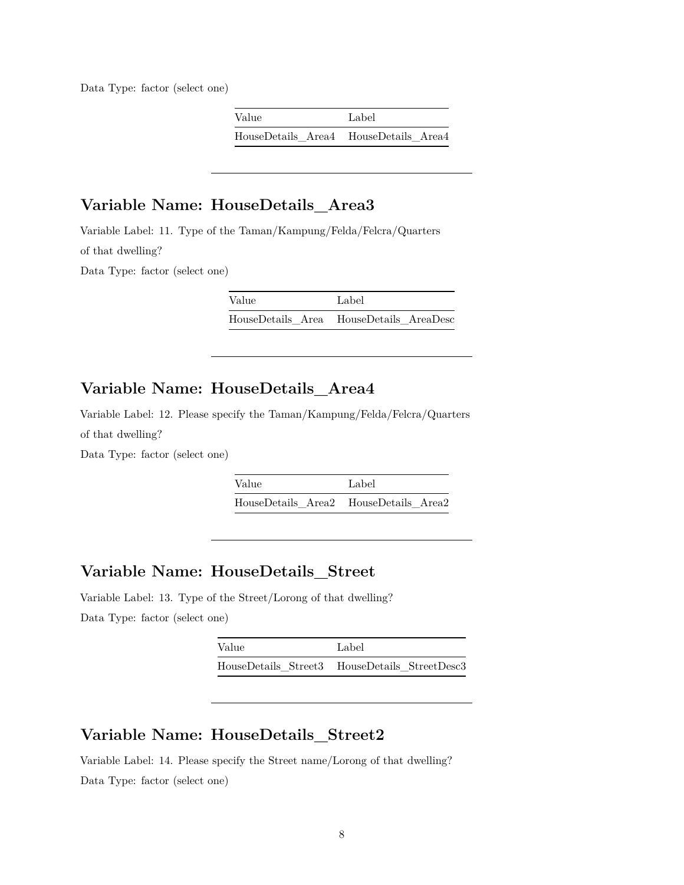Data Type: factor (select one)

| Value                                 | Label |
|---------------------------------------|-------|
| HouseDetails Area4 HouseDetails Area4 |       |

# **Variable Name: HouseDetails\_Area3**

Variable Label: 11. Type of the Taman/Kampung/Felda/Felcra/Quarters of that dwelling?

Data Type: factor (select one)

Value Label HouseDetails\_Area HouseDetails\_AreaDesc

# **Variable Name: HouseDetails\_Area4**

Variable Label: 12. Please specify the Taman/Kampung/Felda/Felcra/Quarters of that dwelling?

Data Type: factor (select one)

Value Label HouseDetails\_Area2 HouseDetails\_Area2

#### **Variable Name: HouseDetails\_Street**

Variable Label: 13. Type of the Street/Lorong of that dwelling? Data Type: factor (select one)

| Value | Label                                         |
|-------|-----------------------------------------------|
|       | HouseDetails Street3 HouseDetails StreetDesc3 |

#### **Variable Name: HouseDetails\_Street2**

Variable Label: 14. Please specify the Street name/Lorong of that dwelling? Data Type: factor (select one)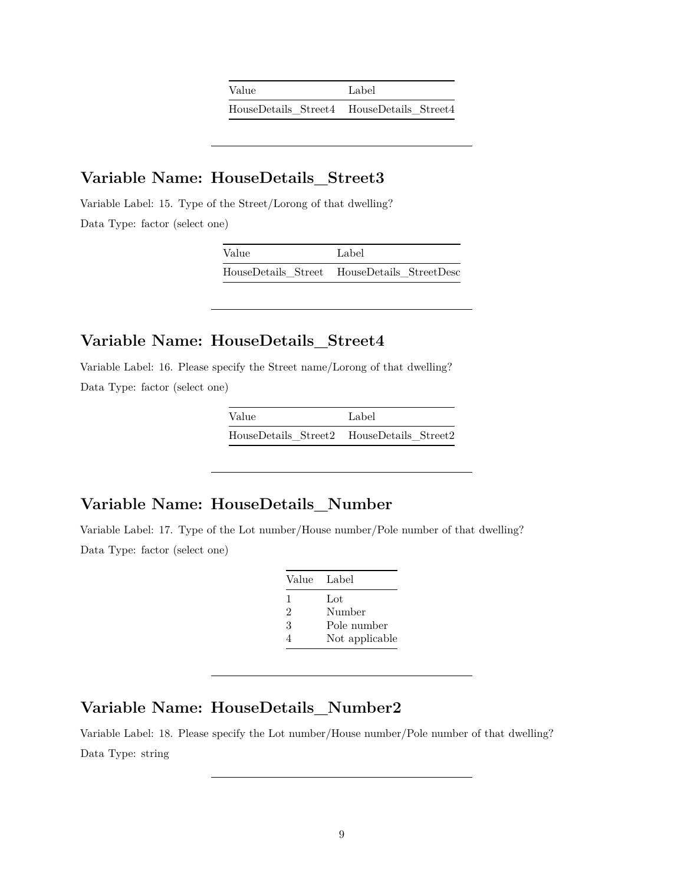| Value | Label                                     |
|-------|-------------------------------------------|
|       | HouseDetails Street4 HouseDetails Street4 |

#### **Variable Name: HouseDetails\_Street3**

Variable Label: 15. Type of the Street/Lorong of that dwelling? Data Type: factor (select one)

| Value | Label                                       |
|-------|---------------------------------------------|
|       | HouseDetails Street HouseDetails StreetDesc |

### **Variable Name: HouseDetails\_Street4**

Variable Label: 16. Please specify the Street name/Lorong of that dwelling? Data Type: factor (select one)

| Value                                     | Label |
|-------------------------------------------|-------|
| HouseDetails Street2 HouseDetails Street2 |       |

### **Variable Name: HouseDetails\_Number**

Variable Label: 17. Type of the Lot number/House number/Pole number of that dwelling? Data Type: factor (select one)

| Value | - Label        |
|-------|----------------|
| 1     | Lot            |
| 2     | Number         |
| 3     | Pole number    |
|       | Not applicable |

#### **Variable Name: HouseDetails\_Number2**

Variable Label: 18. Please specify the Lot number/House number/Pole number of that dwelling? Data Type: string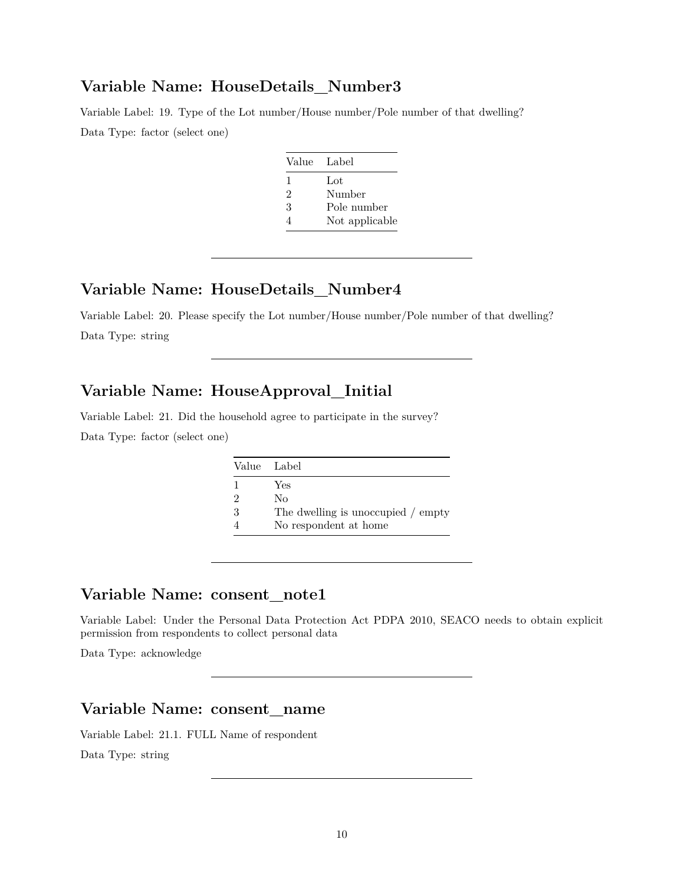#### **Variable Name: HouseDetails\_Number3**

Variable Label: 19. Type of the Lot number/House number/Pole number of that dwelling? Data Type: factor (select one)

| Value | Label          |
|-------|----------------|
| 1     | $tot$          |
| 2     | Number         |
| 3     | Pole number    |
|       | Not applicable |

# **Variable Name: HouseDetails\_Number4**

Variable Label: 20. Please specify the Lot number/House number/Pole number of that dwelling? Data Type: string

# **Variable Name: HouseApproval\_Initial**

Variable Label: 21. Did the household agree to participate in the survey? Data Type: factor (select one)

|   | Value Label                        |
|---|------------------------------------|
| 1 | Yes                                |
| 2 | Nο                                 |
| 3 | The dwelling is unoccupied / empty |
|   | No respondent at home              |

#### **Variable Name: consent\_note1**

Variable Label: Under the Personal Data Protection Act PDPA 2010, SEACO needs to obtain explicit permission from respondents to collect personal data

Data Type: acknowledge

#### **Variable Name: consent\_name**

Variable Label: 21.1. FULL Name of respondent Data Type: string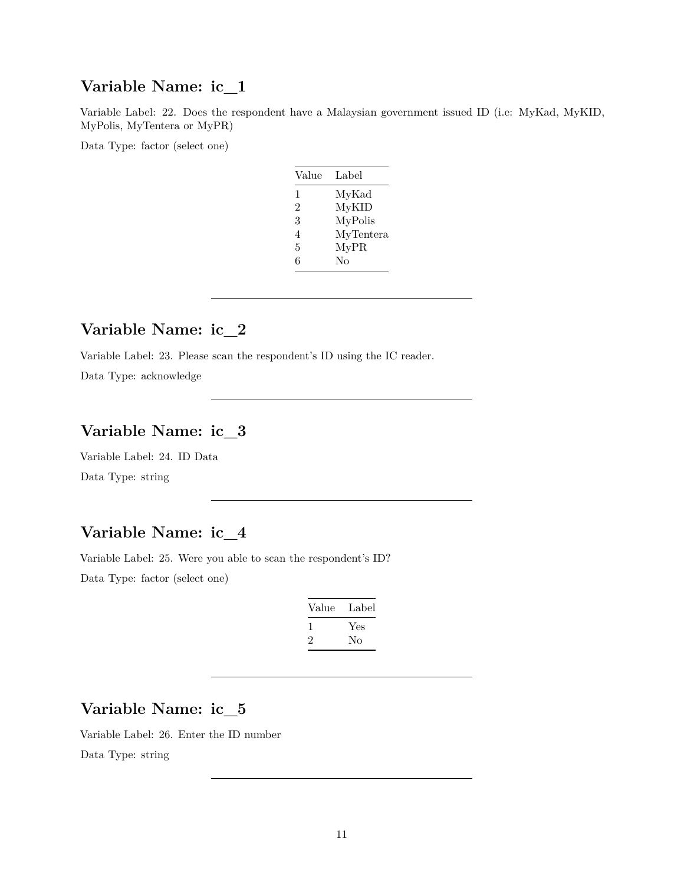### **Variable Name: ic\_1**

Variable Label: 22. Does the respondent have a Malaysian government issued ID (i.e: MyKad, MyKID, MyPolis, MyTentera or MyPR)

Data Type: factor (select one)

| Value | Label     |
|-------|-----------|
| 1     | MyKad     |
| 2     | MyKID     |
| 3     | MyPolis   |
| 4     | MyTentera |
| 5     | MyPR      |
| 6     | $\rm No$  |

# **Variable Name: ic\_2**

Variable Label: 23. Please scan the respondent's ID using the IC reader.

Data Type: acknowledge

# **Variable Name: ic\_3**

Variable Label: 24. ID Data Data Type: string

# **Variable Name: ic\_4**

Variable Label: 25. Were you able to scan the respondent's ID? Data Type: factor (select one)

| Value | Label |
|-------|-------|
|       | Yes   |
| ۰,    | Nο    |

# **Variable Name: ic\_5**

Variable Label: 26. Enter the ID number Data Type: string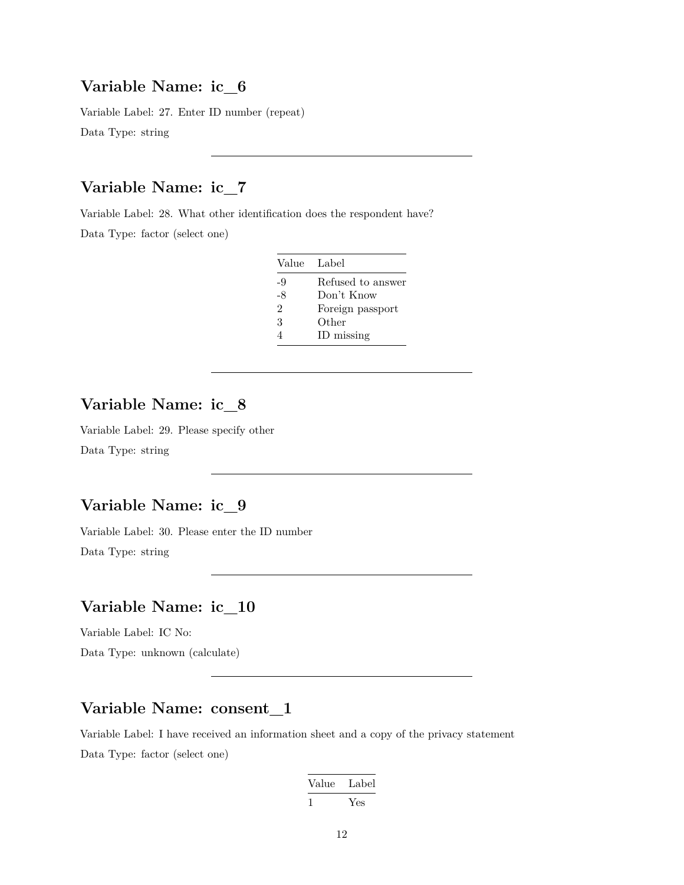#### **Variable Name: ic\_6**

Variable Label: 27. Enter ID number (repeat) Data Type: string

# **Variable Name: ic\_7**

Variable Label: 28. What other identification does the respondent have? Data Type: factor (select one)

| Value                       | Label             |
|-----------------------------|-------------------|
| -9                          | Refused to answer |
| -8                          | Don't Know        |
| $\mathcal{D}_{\mathcal{L}}$ | Foreign passport  |
| 3                           | Other             |
|                             | ID missing        |

# **Variable Name: ic\_8**

Variable Label: 29. Please specify other Data Type: string

# **Variable Name: ic\_9**

Variable Label: 30. Please enter the ID number Data Type: string

# **Variable Name: ic\_10**

Variable Label: IC No:

Data Type: unknown (calculate)

#### **Variable Name: consent\_1**

Variable Label: I have received an information sheet and a copy of the privacy statement Data Type: factor (select one)

| Value | Label |
|-------|-------|
| - 1   | Yes   |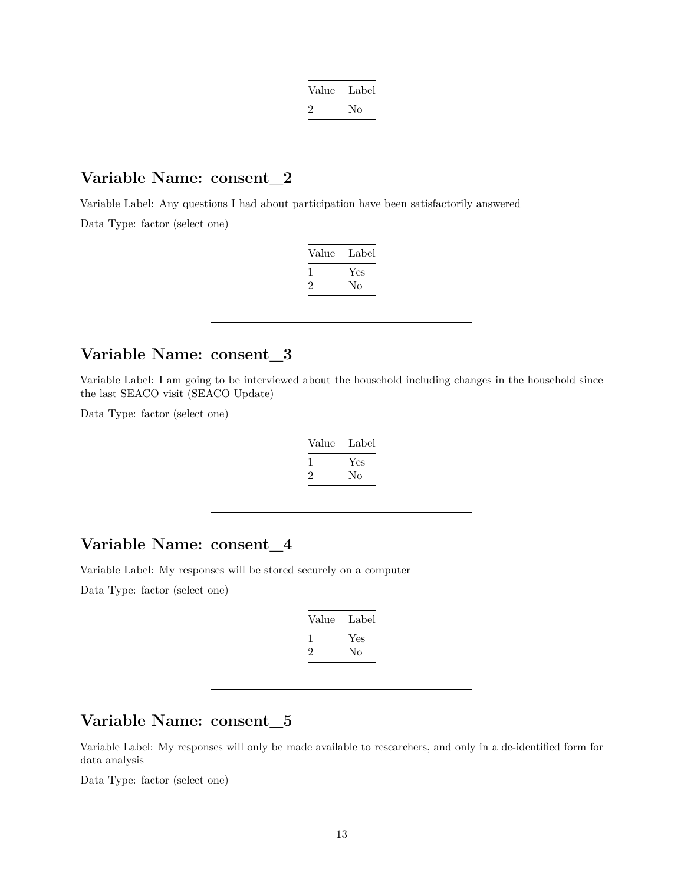| Value   | Label |
|---------|-------|
| $\cdot$ | Nο    |

#### **Variable Name: consent\_2**

Variable Label: Any questions I had about participation have been satisfactorily answered Data Type: factor (select one)

| Value | Label |
|-------|-------|
|       | Yes   |
|       | Nο    |

#### **Variable Name: consent\_3**

Variable Label: I am going to be interviewed about the household including changes in the household since the last SEACO visit (SEACO Update)

Data Type: factor (select one)

| Value | Label |
|-------|-------|
|       | Yes   |
| ۰,    | Nο    |

#### **Variable Name: consent\_4**

Variable Label: My responses will be stored securely on a computer

Data Type: factor (select one)

| Value | Label |
|-------|-------|
| 1     | Yes   |
| ۰,    | Nο    |

### **Variable Name: consent\_5**

Variable Label: My responses will only be made available to researchers, and only in a de-identified form for data analysis

Data Type: factor (select one)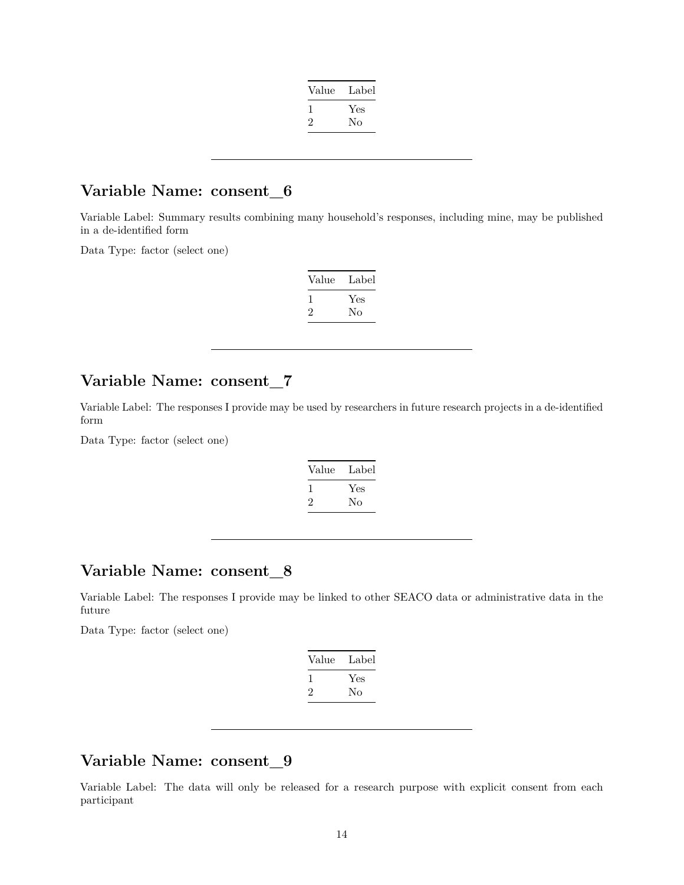| Value | Label |
|-------|-------|
|       | Yes   |
|       | No    |
|       |       |

#### **Variable Name: consent\_6**

Variable Label: Summary results combining many household's responses, including mine, may be published in a de-identified form

Data Type: factor (select one)

| Value | Label |
|-------|-------|
|       | Yes   |
| ۰,    | No    |

### **Variable Name: consent\_7**

Variable Label: The responses I provide may be used by researchers in future research projects in a de-identified form

Data Type: factor (select one)

| Value | Label     |
|-------|-----------|
| ر.    | Yes<br>Nο |

#### **Variable Name: consent\_8**

Variable Label: The responses I provide may be linked to other SEACO data or administrative data in the future

Data Type: factor (select one)

| Label |
|-------|
| Yes   |
| Nο    |
|       |

# **Variable Name: consent\_9**

Variable Label: The data will only be released for a research purpose with explicit consent from each participant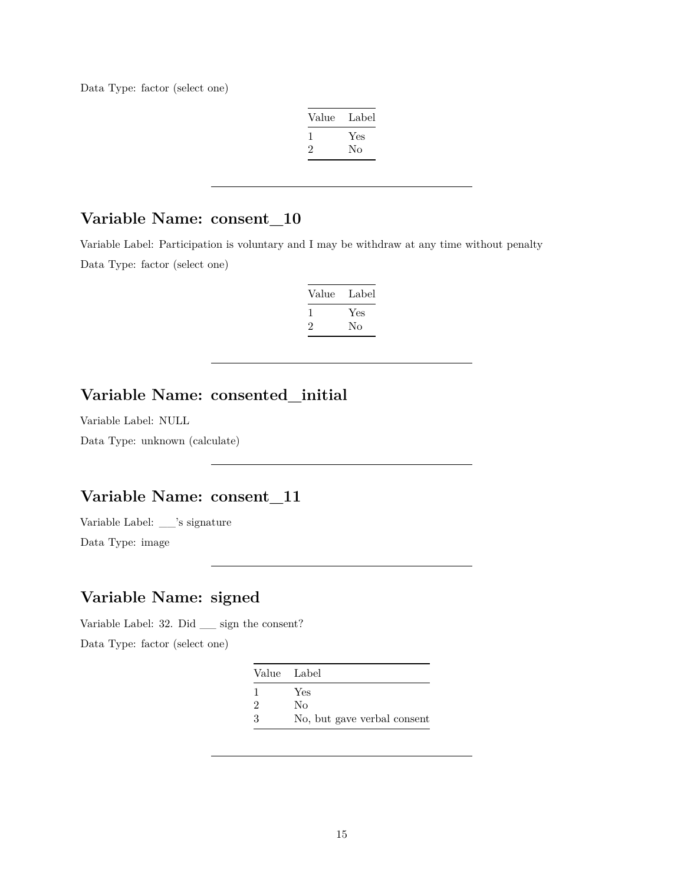Data Type: factor (select one)

| Label |
|-------|
| Yes   |
| No    |
|       |

# **Variable Name: consent\_10**

Variable Label: Participation is voluntary and I may be withdraw at any time without penalty Data Type: factor (select one)

| Value        | Label |
|--------------|-------|
| $\mathbf{I}$ | Yes   |
| ۰,           | Nο    |

# **Variable Name: consented\_initial**

Variable Label: NULL

Data Type: unknown (calculate)

### **Variable Name: consent\_11**

Variable Label: \_\_'s signature

Data Type: image

# **Variable Name: signed**

Variable Label: 32. Did \_\_ sign the consent?

Data Type: factor (select one)

|   | Value Label                 |
|---|-----------------------------|
|   | Yes                         |
| 2 | Nο                          |
| 3 | No, but gave verbal consent |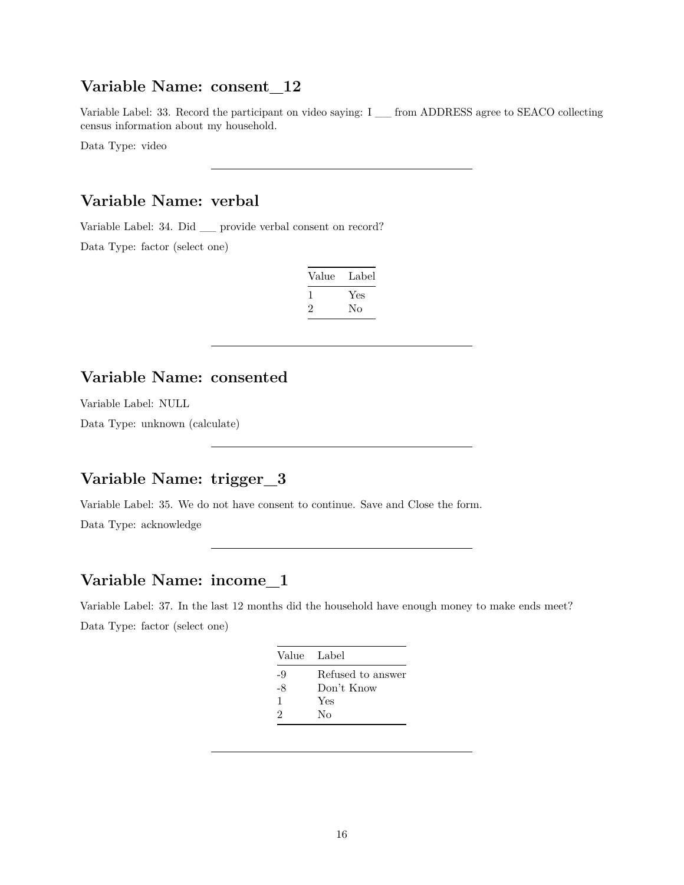#### **Variable Name: consent\_12**

Variable Label: 33. Record the participant on video saying: I \_\_ from ADDRESS agree to SEACO collecting census information about my household.

Data Type: video

#### **Variable Name: verbal**

Variable Label: 34. Did \_\_ provide verbal consent on record? Data Type: factor (select one)

| Value | Label |
|-------|-------|
|       | Yes   |
| ۰,    | Nο    |

#### **Variable Name: consented**

Variable Label: NULL

Data Type: unknown (calculate)

# **Variable Name: trigger\_3**

Variable Label: 35. We do not have consent to continue. Save and Close the form.

Data Type: acknowledge

# **Variable Name: income\_1**

Variable Label: 37. In the last 12 months did the household have enough money to make ends meet? Data Type: factor (select one)

|    | Value Label       |
|----|-------------------|
| -9 | Refused to answer |
| -8 | Don't Know        |
| 1  | Yes               |
| 2  | Nο                |
|    |                   |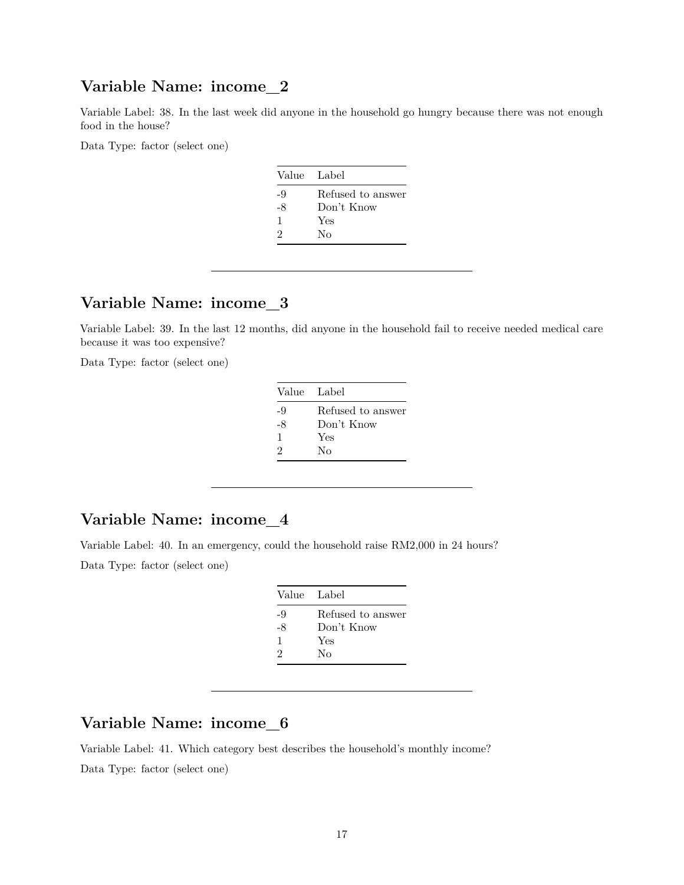#### **Variable Name: income\_2**

Variable Label: 38. In the last week did anyone in the household go hungry because there was not enough food in the house?

Data Type: factor (select one)

|    | Value Label       |
|----|-------------------|
| -9 | Refused to answer |
| -8 | Don't Know        |
| 1  | Yes               |
| 2  | Nο                |
|    |                   |

# **Variable Name: income\_3**

Variable Label: 39. In the last 12 months, did anyone in the household fail to receive needed medical care because it was too expensive?

Data Type: factor (select one)

| Value Label       |
|-------------------|
| Refused to answer |
| Don't Know        |
| Yes               |
| Nο                |
|                   |

#### **Variable Name: income\_4**

Variable Label: 40. In an emergency, could the household raise RM2,000 in 24 hours?

Data Type: factor (select one)

| Value Label       |
|-------------------|
| Refused to answer |
| Don't Know        |
| Yes               |
| Nο                |
|                   |

# **Variable Name: income\_6**

Variable Label: 41. Which category best describes the household's monthly income? Data Type: factor (select one)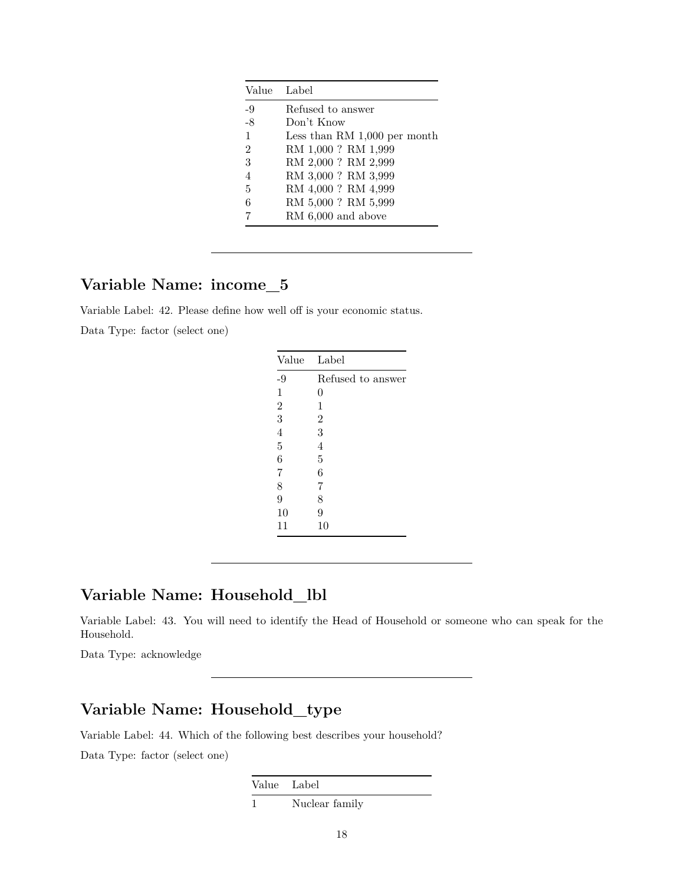|                | Value Label                    |
|----------------|--------------------------------|
| $-9$           | Refused to answer              |
| -8             | Don't Know                     |
| $\mathbf{1}$   | Less than RM $1,000$ per month |
| $\mathfrak{D}$ | RM 1,000 ? RM 1,999            |
| 3              | RM 2,000 ? RM 2,999            |
| $\overline{4}$ | RM 3,000 ? RM 3,999            |
| 5              | RM 4,000? RM 4,999             |
| 6              | RM 5,000 ? RM 5,999            |
|                | RM $6,000$ and above           |

# **Variable Name: income\_5**

Variable Label: 42. Please define how well off is your economic status.

Data Type: factor (select one)

| Refused to answer |
|-------------------|
|                   |
| 0                 |
| 1                 |
| $\overline{2}$    |
| 3                 |
| $\overline{4}$    |
| 5                 |
| 6                 |
| 7                 |
| 8                 |
| 9                 |
| 10                |
|                   |

### **Variable Name: Household\_lbl**

Variable Label: 43. You will need to identify the Head of Household or someone who can speak for the Household.

Data Type: acknowledge

# **Variable Name: Household\_type**

Variable Label: 44. Which of the following best describes your household?

Data Type: factor (select one)

Value Label

1 Nuclear family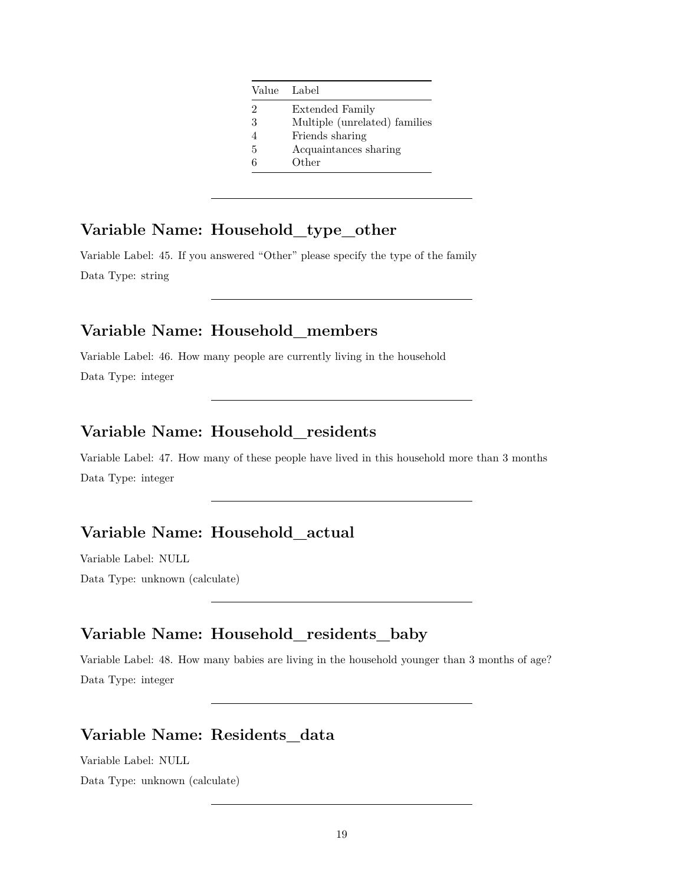|   | Value Label                   |
|---|-------------------------------|
| 2 | <b>Extended Family</b>        |
| 3 | Multiple (unrelated) families |
|   | Friends sharing               |
| 5 | Acquaintances sharing         |
|   | Other                         |

# **Variable Name: Household\_type\_other**

Variable Label: 45. If you answered "Other" please specify the type of the family Data Type: string

### **Variable Name: Household\_members**

Variable Label: 46. How many people are currently living in the household Data Type: integer

# **Variable Name: Household\_residents**

Variable Label: 47. How many of these people have lived in this household more than 3 months Data Type: integer

# **Variable Name: Household\_actual**

Variable Label: NULL

Data Type: unknown (calculate)

# **Variable Name: Household\_residents\_baby**

Variable Label: 48. How many babies are living in the household younger than 3 months of age? Data Type: integer

# **Variable Name: Residents\_data**

Variable Label: NULL

Data Type: unknown (calculate)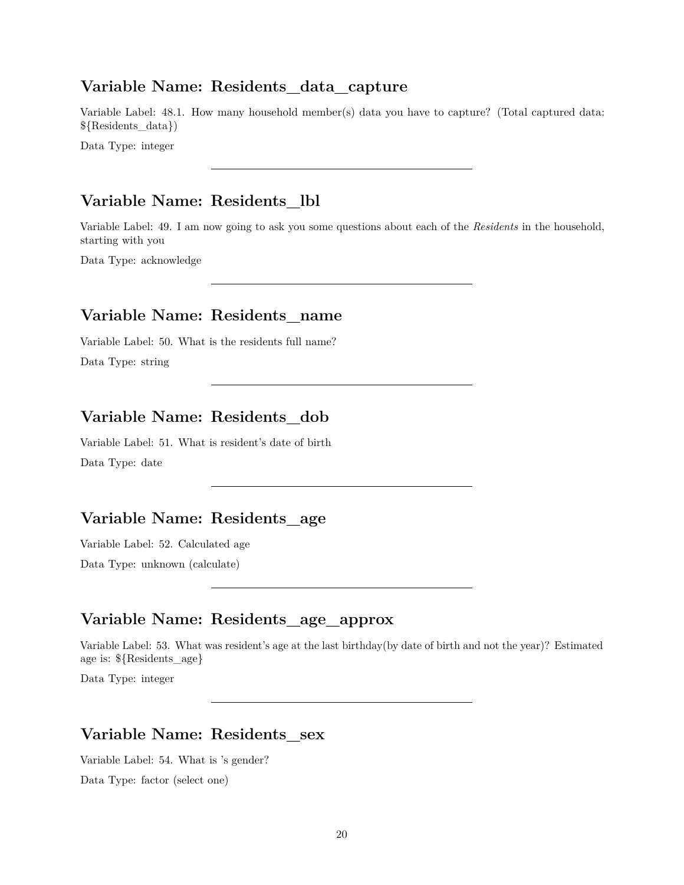#### **Variable Name: Residents\_data\_capture**

Variable Label: 48.1. How many household member(s) data you have to capture? (Total captured data: \${Residents\_data})

Data Type: integer

#### **Variable Name: Residents\_lbl**

Variable Label: 49. I am now going to ask you some questions about each of the *Residents* in the household, starting with you

Data Type: acknowledge

#### **Variable Name: Residents\_name**

Variable Label: 50. What is the residents full name?

Data Type: string

# **Variable Name: Residents\_dob**

Variable Label: 51. What is resident's date of birth Data Type: date

#### **Variable Name: Residents\_age**

Variable Label: 52. Calculated age

Data Type: unknown (calculate)

# **Variable Name: Residents\_age\_approx**

Variable Label: 53. What was resident's age at the last birthday(by date of birth and not the year)? Estimated age is: \${Residents\_age}

Data Type: integer

# **Variable Name: Residents\_sex**

Variable Label: 54. What is 's gender? Data Type: factor (select one)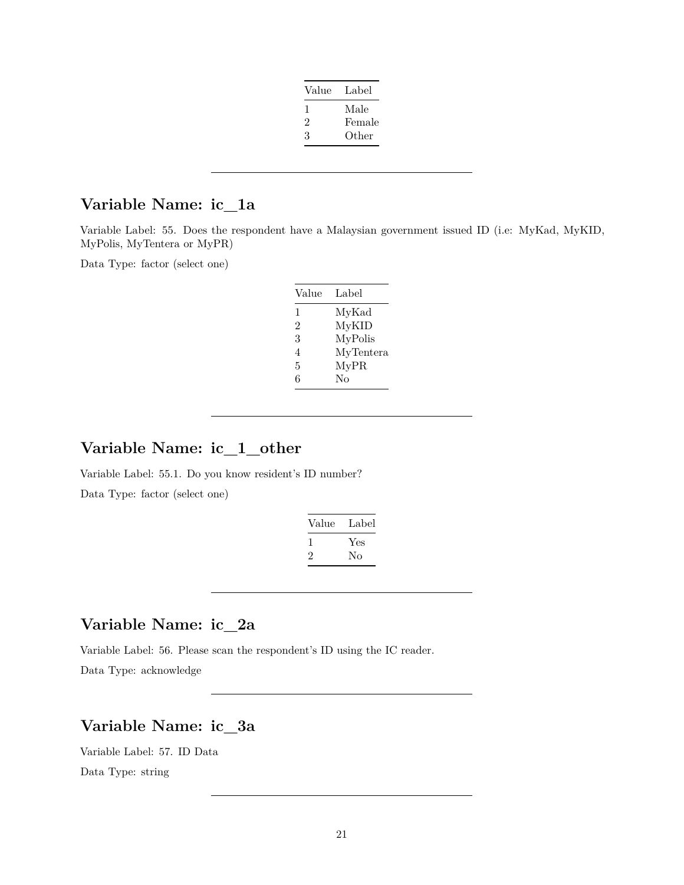| Value | Label  |
|-------|--------|
| ı.    | Male   |
| 2     | Female |
| 3     | Other  |

# **Variable Name: ic\_1a**

Variable Label: 55. Does the respondent have a Malaysian government issued ID (i.e: MyKad, MyKID, MyPolis, MyTentera or MyPR)

Data Type: factor (select one)

| Label     |
|-----------|
| MyKad     |
| MyKID     |
| MyPolis   |
| MyTentera |
| MyPR      |
| $\rm No$  |
|           |

# **Variable Name: ic\_1\_other**

Variable Label: 55.1. Do you know resident's ID number? Data Type: factor (select one)

| Value   | Label |
|---------|-------|
|         | Yes   |
| $\cdot$ | Nο    |

# **Variable Name: ic\_2a**

Variable Label: 56. Please scan the respondent's ID using the IC reader.

Data Type: acknowledge

#### **Variable Name: ic\_3a**

Variable Label: 57. ID Data Data Type: string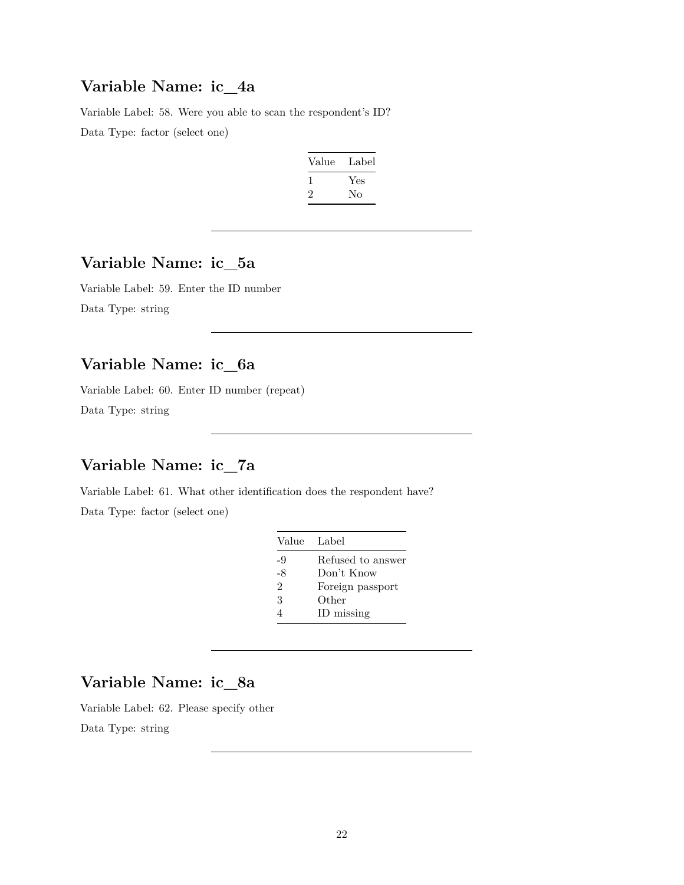#### **Variable Name: ic\_4a**

Variable Label: 58. Were you able to scan the respondent's ID? Data Type: factor (select one)

| Value | Label |
|-------|-------|
|       | Yes   |
| ۰,    | Nο    |

# **Variable Name: ic\_5a**

Variable Label: 59. Enter the ID number Data Type: string

# **Variable Name: ic\_6a**

Variable Label: 60. Enter ID number (repeat) Data Type: string

# **Variable Name: ic\_7a**

Variable Label: 61. What other identification does the respondent have? Data Type: factor (select one)

|      | Value Label       |
|------|-------------------|
| -9   | Refused to answer |
| $-8$ | Don't Know        |
| 2    | Foreign passport  |
| 3    | Other             |
|      | ID missing        |

#### **Variable Name: ic\_8a**

Variable Label: 62. Please specify other Data Type: string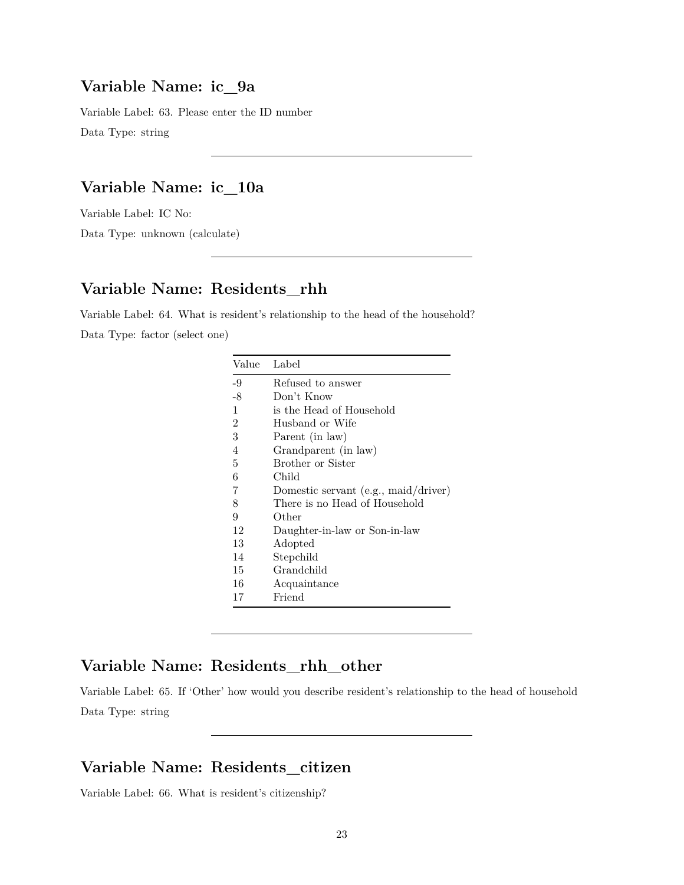#### **Variable Name: ic\_9a**

Variable Label: 63. Please enter the ID number Data Type: string

# **Variable Name: ic\_10a**

Variable Label: IC No:

Data Type: unknown (calculate)

# **Variable Name: Residents\_rhh**

Variable Label: 64. What is resident's relationship to the head of the household? Data Type: factor (select one)

| Value          | Label                                  |
|----------------|----------------------------------------|
| -9             | Refused to answer                      |
| $-8$           | Don't Know                             |
| $\mathbf{1}$   | is the Head of Household               |
| $\overline{2}$ | Husband or Wife                        |
| 3              | Parent (in law)                        |
| 4              | Grandparent (in law)                   |
| 5              | Brother or Sister                      |
| 6              | Child                                  |
| 7              | Domestic servant $(e.g., maid/driver)$ |
| 8              | There is no Head of Household          |
| 9              | Other                                  |
| 12             | Daughter-in-law or Son-in-law          |
| 13             | Adopted                                |
| 14             | Stepchild                              |
| 15             | Grandchild                             |
| 16             | Acquaintance                           |
| 17             | Friend                                 |

# **Variable Name: Residents\_rhh\_other**

Variable Label: 65. If 'Other' how would you describe resident's relationship to the head of household Data Type: string

### **Variable Name: Residents\_citizen**

Variable Label: 66. What is resident's citizenship?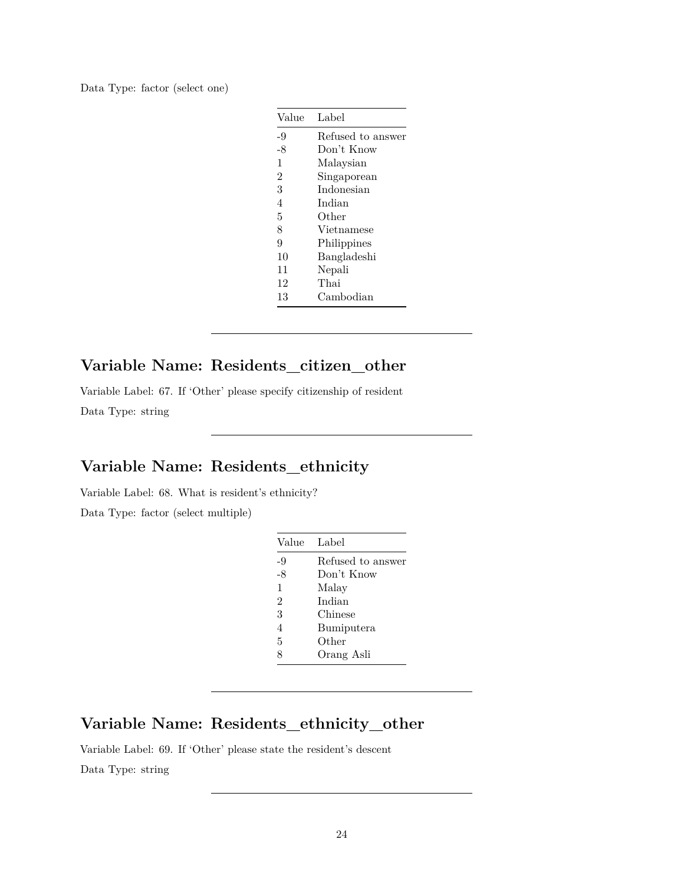Data Type: factor (select one)

| Value          | Label             |
|----------------|-------------------|
| -9             | Refused to answer |
| $-8$           | Don't Know        |
| 1              | Malaysian         |
| $\overline{2}$ | Singaporean       |
| 3              | Indonesian        |
| $\overline{4}$ | Indian            |
| 5              | Other             |
| 8              | Vietnamese        |
| 9              | Philippines       |
| 10             | Bangladeshi       |
| 11             | Nepali            |
| 12             | Thai              |
| 13             | Cambodian         |

# **Variable Name: Residents\_citizen\_other**

Variable Label: 67. If 'Other' please specify citizenship of resident Data Type: string

# **Variable Name: Residents\_ethnicity**

Variable Label: 68. What is resident's ethnicity?

Data Type: factor (select multiple)

| Value          | Label             |
|----------------|-------------------|
| -9             | Refused to answer |
| -8             | Don't Know        |
| 1              | Malay             |
| $\overline{2}$ | Indian            |
| 3              | Chinese           |
| 4              | Bumiputera        |
| 5              | Other             |
| 8              | Orang Asli        |

# **Variable Name: Residents\_ethnicity\_other**

Variable Label: 69. If 'Other' please state the resident's descent Data Type: string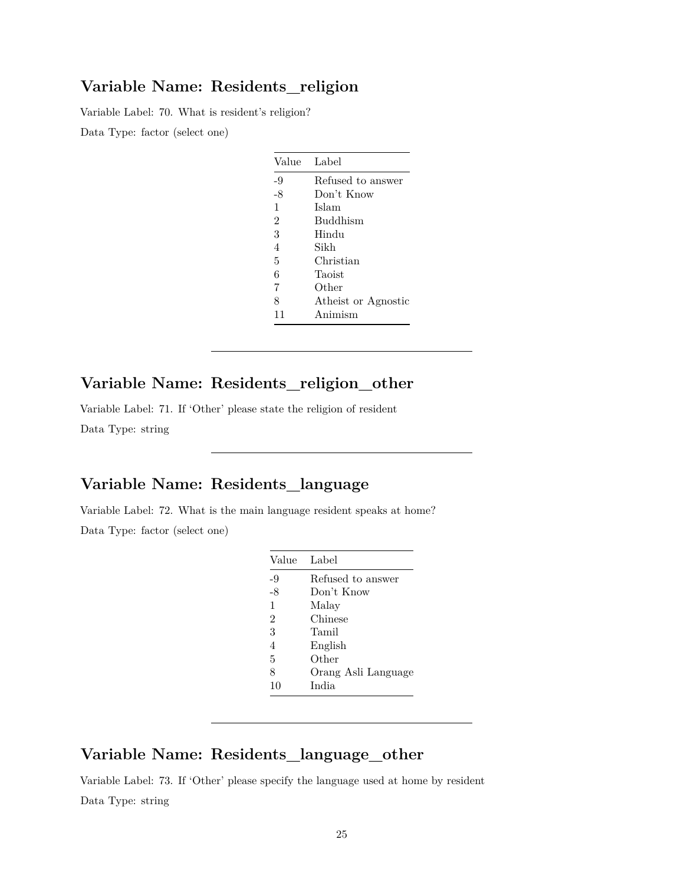#### **Variable Name: Residents\_religion**

Variable Label: 70. What is resident's religion?

Data Type: factor (select one)

| Value          | Label               |
|----------------|---------------------|
| -9             | Refused to answer   |
| $-8$           | Don't Know          |
| 1              | Islam               |
| $\mathfrak{D}$ | <b>Buddhism</b>     |
| 3              | Hindu               |
| $\overline{4}$ | Sikh                |
| 5              | Christian           |
| 6              | Taoist              |
| 7              | Other               |
| 8              | Atheist or Agnostic |
| 11             | Animism             |

# **Variable Name: Residents\_religion\_other**

Variable Label: 71. If 'Other' please state the religion of resident Data Type: string

# **Variable Name: Residents\_language**

Variable Label: 72. What is the main language resident speaks at home? Data Type: factor (select one)

| Value | Label               |
|-------|---------------------|
| -9    | Refused to answer   |
| $-8$  | Don't Know          |
| 1     | Malay               |
| 2     | Chinese             |
| 3     | Tamil               |
| 4     | English             |
| 5     | Other               |
| 8     | Orang Asli Language |
| 10    | India               |

### **Variable Name: Residents\_language\_other**

Variable Label: 73. If 'Other' please specify the language used at home by resident Data Type: string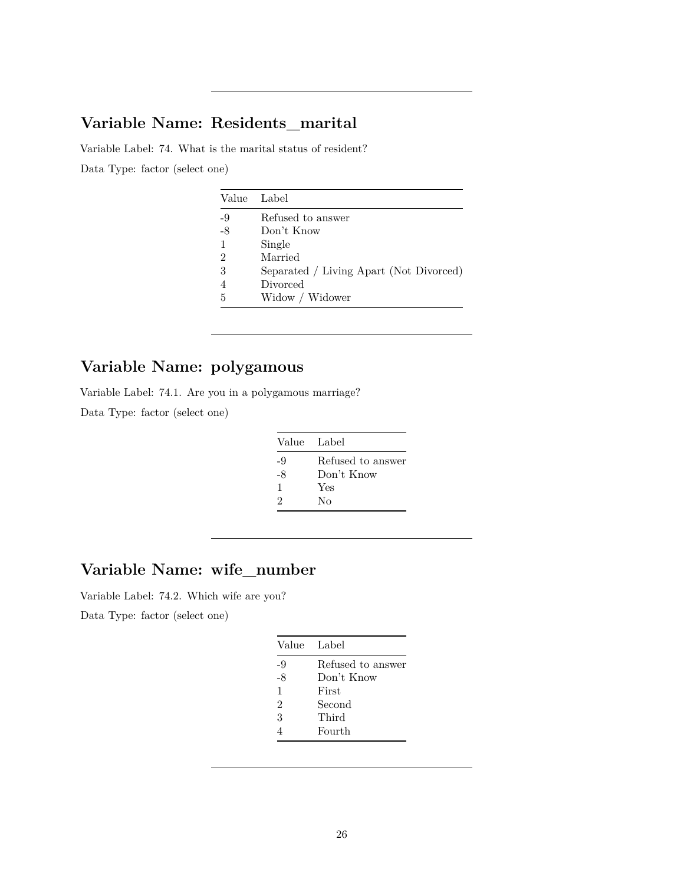# **Variable Name: Residents\_marital**

Variable Label: 74. What is the marital status of resident? Data Type: factor (select one)

|      | Value Label                             |
|------|-----------------------------------------|
| -9   | Refused to answer                       |
| $-8$ | Don't Know                              |
| 1    | Single                                  |
| 2    | Married                                 |
| 3    | Separated / Living Apart (Not Divorced) |
|      | Divorced                                |
| 5    | Widow / Widower                         |

# **Variable Name: polygamous**

Variable Label: 74.1. Are you in a polygamous marriage?

Data Type: factor (select one)

| Value Label |                   |
|-------------|-------------------|
| -9          | Refused to answer |
| -8          | Don't Know        |
| 1           | Yes               |
| 2           | Nο                |

# **Variable Name: wife\_number**

Variable Label: 74.2. Which wife are you?

Data Type: factor (select one)

| Value Label    |                   |
|----------------|-------------------|
| -9             | Refused to answer |
| $-8$           | Don't Know        |
| $\mathbf{1}$   | First             |
| $\mathfrak{D}$ | Second            |
| 3              | Third             |
|                | Fourth            |
|                |                   |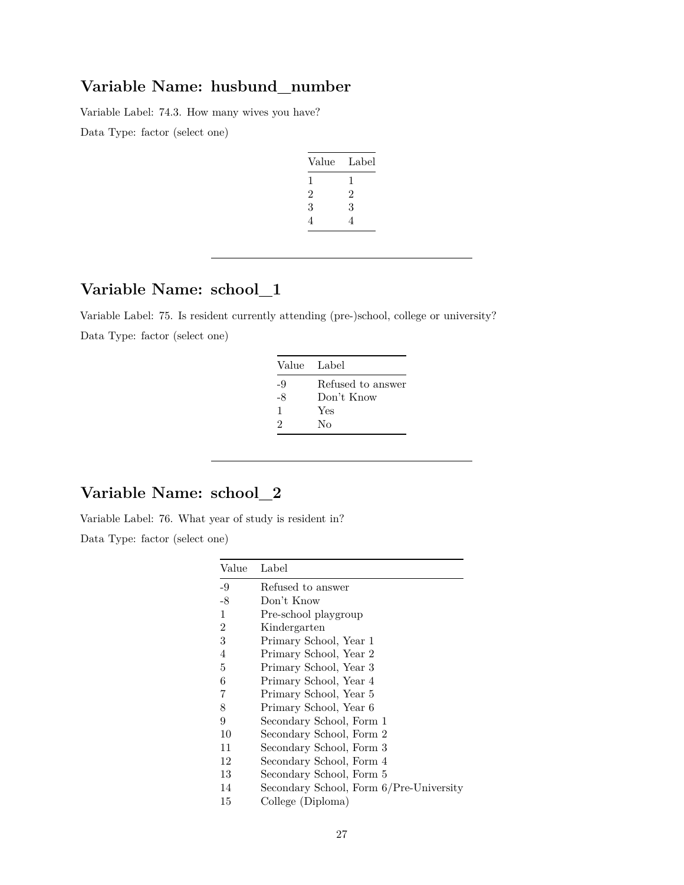# **Variable Name: husbund\_number**

Variable Label: 74.3. How many wives you have? Data Type: factor (select one)

| Value          | Label |
|----------------|-------|
| 1              | 1     |
| $\overline{2}$ | 2     |
| 3              | 3     |
| 4              | 4     |

# **Variable Name: school\_1**

Variable Label: 75. Is resident currently attending (pre-)school, college or university? Data Type: factor (select one)

| Value Label |                   |
|-------------|-------------------|
| -9          | Refused to answer |
| -8          | Don't Know        |
| 1           | Yes               |
| 9           | Nο                |

# **Variable Name: school\_2**

Variable Label: 76. What year of study is resident in? Data Type: factor (select one)

| Value          | Label                                   |
|----------------|-----------------------------------------|
| -9             | Refused to answer                       |
| $-8$           | Don't Know                              |
| 1              | Pre-school playgroup                    |
| $\overline{2}$ | Kindergarten                            |
| 3              | Primary School, Year 1                  |
| 4              | Primary School, Year 2                  |
| 5              | Primary School, Year 3                  |
| 6              | Primary School, Year 4                  |
| 7              | Primary School, Year 5                  |
| 8              | Primary School, Year 6                  |
| 9              | Secondary School, Form 1                |
| 10             | Secondary School, Form 2                |
| 11             | Secondary School, Form 3                |
| 12             | Secondary School, Form 4                |
| 13             | Secondary School, Form 5                |
| 14             | Secondary School, Form 6/Pre-University |
| 15             | College (Diploma)                       |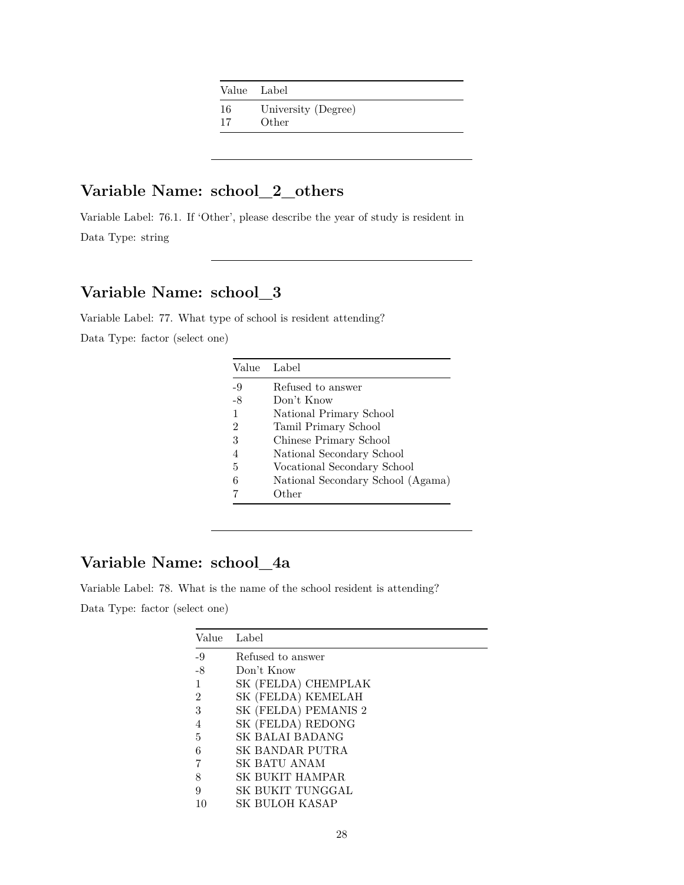| Value Label |                              |
|-------------|------------------------------|
| 16<br>17    | University (Degree)<br>Other |
|             |                              |

# **Variable Name: school\_2\_others**

Variable Label: 76.1. If 'Other', please describe the year of study is resident in Data Type: string

# **Variable Name: school\_3**

Variable Label: 77. What type of school is resident attending? Data Type: factor (select one)

| Value          | Label                             |
|----------------|-----------------------------------|
| -9             | Refused to answer                 |
| $-8$           | Don't Know                        |
|                | National Primary School           |
| $\overline{2}$ | Tamil Primary School              |
| 3              | Chinese Primary School            |
|                | National Secondary School         |
| 5              | Vocational Secondary School       |
| 6              | National Secondary School (Agama) |
|                | Other                             |

# **Variable Name: school\_4a**

Variable Label: 78. What is the name of the school resident is attending? Data Type: factor (select one)

| Value          | Label                  |
|----------------|------------------------|
| $-9$           | Refused to answer      |
| -8             | Don't Know             |
| -1             | SK (FELDA) CHEMPLAK    |
| $\overline{2}$ | SK (FELDA) KEMELAH     |
| 3              | SK (FELDA) PEMANIS 2   |
| 4              | SK (FELDA) REDONG      |
| 5              | SK BALAI BADANG        |
| 6              | SK BANDAR PUTRA        |
|                | SK BATU ANAM           |
| 8              | <b>SK BUKIT HAMPAR</b> |
| 9              | SK BUKIT TUNGGAL       |
|                | SK BULOH KASAP         |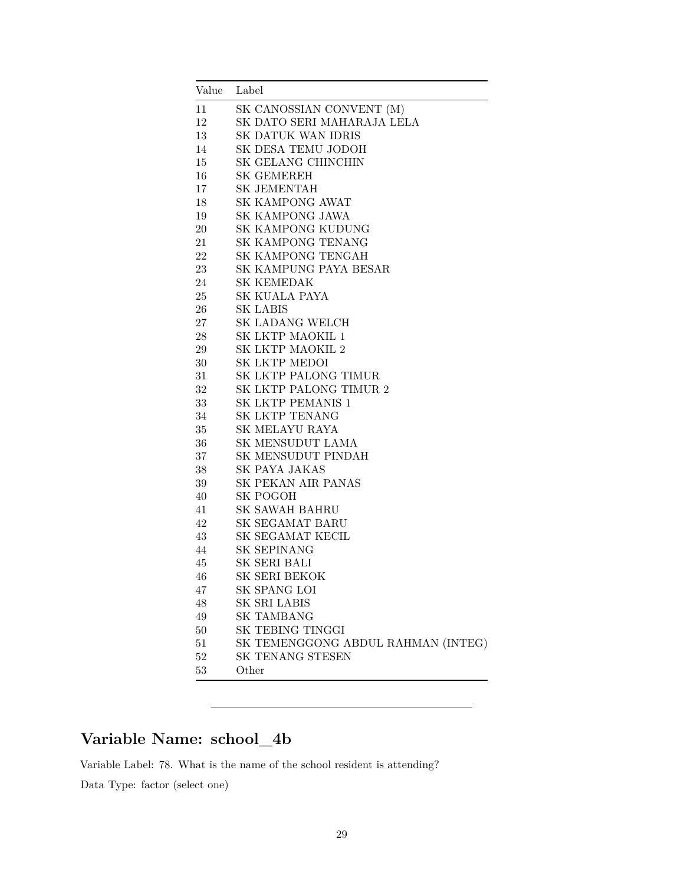| Value | Label                              |
|-------|------------------------------------|
| 11    | SK CANOSSIAN CONVENT (M)           |
| 12    | SK DATO SERI MAHARAJA LELA         |
| 13    | SK DATUK WAN IDRIS                 |
| 14    | SK DESA TEMU JODOH                 |
| 15    | SK GELANG CHINCHIN                 |
| 16    | <b>SK GEMEREH</b>                  |
| 17    | <b>SK JEMENTAH</b>                 |
| 18    | <b>SK KAMPONG AWAT</b>             |
| 19    | SK KAMPONG JAWA                    |
| 20    | SK KAMPONG KUDUNG                  |
| 21    | SK KAMPONG TENANG                  |
| 22    | SK KAMPONG TENGAH                  |
| 23    | SK KAMPUNG PAYA BESAR              |
| 24    | SK KEMEDAK                         |
| 25    | SK KUALA PAYA                      |
| 26    | SK LABIS                           |
| 27    | SK LADANG WELCH                    |
| 28    | SK LKTP MAOKIL 1                   |
| 29    | SK LKTP MAOKIL 2                   |
| 30    | SK LKTP MEDOI                      |
| 31    | SK LKTP PALONG TIMUR               |
| 32    | SK LKTP PALONG TIMUR 2             |
| 33    | SK LKTP PEMANIS 1                  |
| 34    | SK LKTP TENANG                     |
| 35    | SK MELAYU RAYA                     |
| 36    | SK MENSUDUT LAMA                   |
| 37    | SK MENSUDUT PINDAH                 |
| 38    | SK PAYA JAKAS                      |
| 39    | SK PEKAN AIR PANAS                 |
| 40    | SK POGOH                           |
| 41    | <b>SK SAWAH BAHRU</b>              |
| 42    | SK SEGAMAT BARU                    |
| 43    | SK SEGAMAT KECIL                   |
| 44    | SK SEPINANG                        |
| 45    | SK SERI BALI                       |
| 46    | SK SERI BEKOK                      |
| 47    | SK SPANG LOI                       |
| 48    | SK SRI LABIS                       |
| 49    | SK TAMBANG                         |
| 50    | SK TEBING TINGGI                   |
| 51    | SK TEMENGGONG ABDUL RAHMAN (INTEG) |
| 52    | SK TENANG STESEN                   |
| 53    | Other                              |

# **Variable Name: school\_4b**

Variable Label: 78. What is the name of the school resident is attending?

Data Type: factor (select one)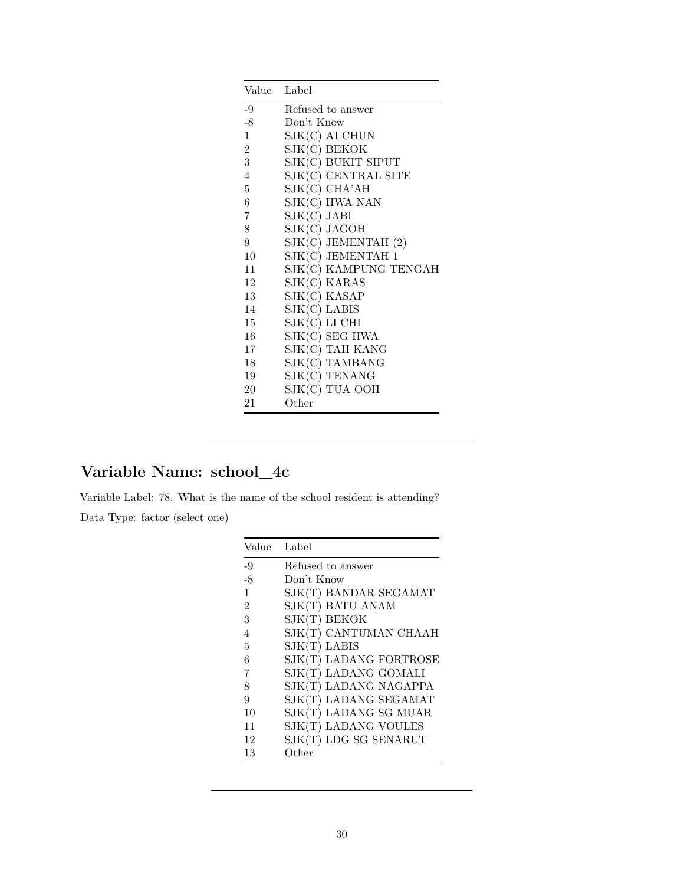| Value Label    |                         |
|----------------|-------------------------|
| -9             | Refused to answer       |
| $-8$           | Don't Know              |
| $\mathbf{1}$   | SJK(C) AI CHUN          |
| $\overline{2}$ | SJK(C) BEKOK            |
| $\overline{3}$ | SJK(C) BUKIT SIPUT      |
| $\overline{4}$ | SJK(C) CENTRAL SITE     |
| 5              | SJK(C) CHA'AH           |
| 6              | SJK(C) HWA NAN          |
| 7              | $SIK(C)$ JABI           |
| 8              | SJK(C) JAGOH            |
| 9              | $SIK(C)$ JEMENTAH $(2)$ |
| $10^{\circ}$   | SJK(C) JEMENTAH 1       |
| 11             | SJK(C) KAMPUNG TENGAH   |
| 12             | SJK(C) KARAS            |
| 13             | SJK(C) KASAP            |
| 14             | $SIK(C)$ LABIS          |
| 15             | SJK(C) LI CHI           |
| 16             | SJK(C) SEG HWA          |
| 17             | SJK(C) TAH KANG         |
| 18             | SJK(C) TAMBANG          |
| 19             | SJK(C) TENANG           |
| 20             | SJK(C) TUA OOH          |
| 21             | Other                   |

# **Variable Name: school\_4c**

Variable Label: 78. What is the name of the school resident is attending? Data Type: factor (select one)

| Value          | Label                  |
|----------------|------------------------|
| -9             | Refused to answer      |
| $-8$           | Don't Know             |
| $\mathbf{1}$   | SJK(T) BANDAR SEGAMAT  |
| $\overline{2}$ | SJK(T) BATU ANAM       |
| 3              | SJK(T) BEKOK           |
| 4              | SJK(T) CANTUMAN CHAAH  |
| 5              | $SIK(T)$ LABIS         |
| 6              | SJK(T) LADANG FORTROSE |
| 7              | SJK(T) LADANG GOMALI   |
| 8              | SJK(T) LADANG NAGAPPA  |
| 9              | SJK(T) LADANG SEGAMAT  |
| 10             | SJK(T) LADANG SG MUAR  |
| 11             | SJK(T) LADANG VOULES   |
| 12             | SJK(T) LDG SG SENARUT  |
| 13             | Other                  |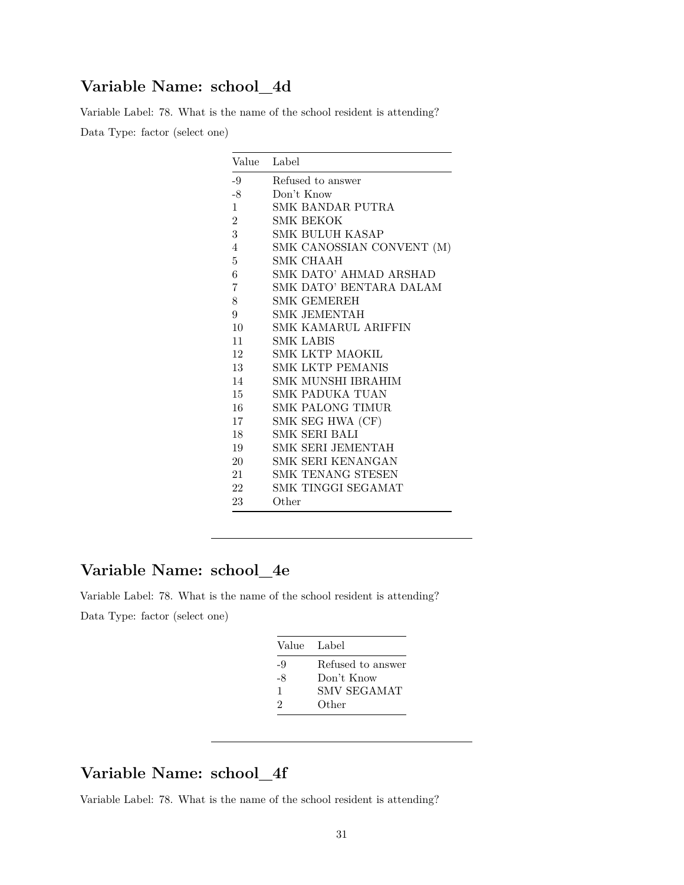### **Variable Name: school\_4d**

Variable Label: 78. What is the name of the school resident is attending? Data Type: factor (select one)

| Value          | Label                      |
|----------------|----------------------------|
| $-9$           | Refused to answer          |
| $-8$           | Don't Know                 |
| $\mathbf{1}$   | SMK BANDAR PUTRA           |
| $\overline{2}$ | <b>SMK BEKOK</b>           |
| 3              | SMK BULUH KASAP            |
| $\overline{4}$ | SMK CANOSSIAN CONVENT (M)  |
| 5              | SMK CHAAH                  |
| 6              | SMK DATO' AHMAD ARSHAD     |
| 7              | SMK DATO' BENTARA DALAM    |
| 8              | <b>SMK GEMEREH</b>         |
| 9              | SMK JEMENTAH               |
| 10             | <b>SMK KAMARUL ARIFFIN</b> |
| 11             | SMK LABIS                  |
| 12             | SMK LKTP MAOKIL            |
| 13             | <b>SMK LKTP PEMANIS</b>    |
| 14             | SMK MUNSHI IBRAHIM         |
| 15             | SMK PADUKA TUAN            |
| 16             | SMK PALONG TIMUR           |
| 17             | SMK SEG HWA (CF)           |
| 18             | SMK SERI BALI              |
| 19             | SMK SERI JEMENTAH          |
| 20             | SMK SERI KENANGAN          |
| 21             | SMK TENANG STESEN          |
| 22             | SMK TINGGI SEGAMAT         |
| 23             | Other                      |

## **Variable Name: school\_4e**

Variable Label: 78. What is the name of the school resident is attending? Data Type: factor (select one)

|    | Value Label        |
|----|--------------------|
| -9 | Refused to answer  |
| -8 | Don't Know         |
| 1  | <b>SMV SEGAMAT</b> |
| 2  | Other              |
|    |                    |

# **Variable Name: school\_4f**

Variable Label: 78. What is the name of the school resident is attending?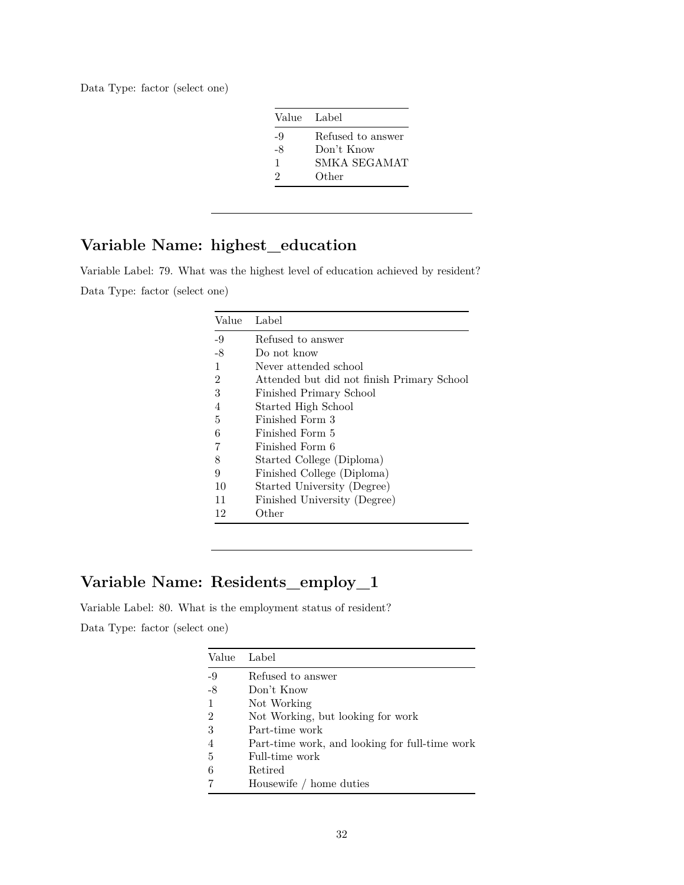Data Type: factor (select one)

|    | Value Label       |
|----|-------------------|
| -9 | Refused to answer |
| -8 | Don't Know        |
| 1  | SMKA SEGAMAT      |
| 2  | Other             |
|    |                   |

# **Variable Name: highest\_education**

Variable Label: 79. What was the highest level of education achieved by resident? Data Type: factor (select one)

| Value | Label                                      |
|-------|--------------------------------------------|
| -9    | Refused to answer                          |
| $-8$  | Do not know                                |
| 1     | Never attended school                      |
| 2     | Attended but did not finish Primary School |
| 3     | Finished Primary School                    |
| 4     | Started High School                        |
| 5     | Finished Form 3                            |
| 6     | Finished Form 5                            |
| 7     | Finished Form 6                            |
| 8     | Started College (Diploma)                  |
| 9     | Finished College (Diploma)                 |
| 10    | Started University (Degree)                |
| 11    | Finished University (Degree)               |
| 12    | Other                                      |

# **Variable Name: Residents\_employ\_1**

Variable Label: 80. What is the employment status of resident? Data Type: factor (select one)

| Value          | Label                                          |
|----------------|------------------------------------------------|
| $-9$           | Refused to answer                              |
| $-8$           | Don't Know                                     |
|                | Not Working                                    |
| $\overline{2}$ | Not Working, but looking for work              |
| 3              | Part-time work                                 |
| $\overline{4}$ | Part-time work, and looking for full-time work |
| 5              | Full-time work                                 |
| 6              | Retired                                        |
|                | Housewife / home duties                        |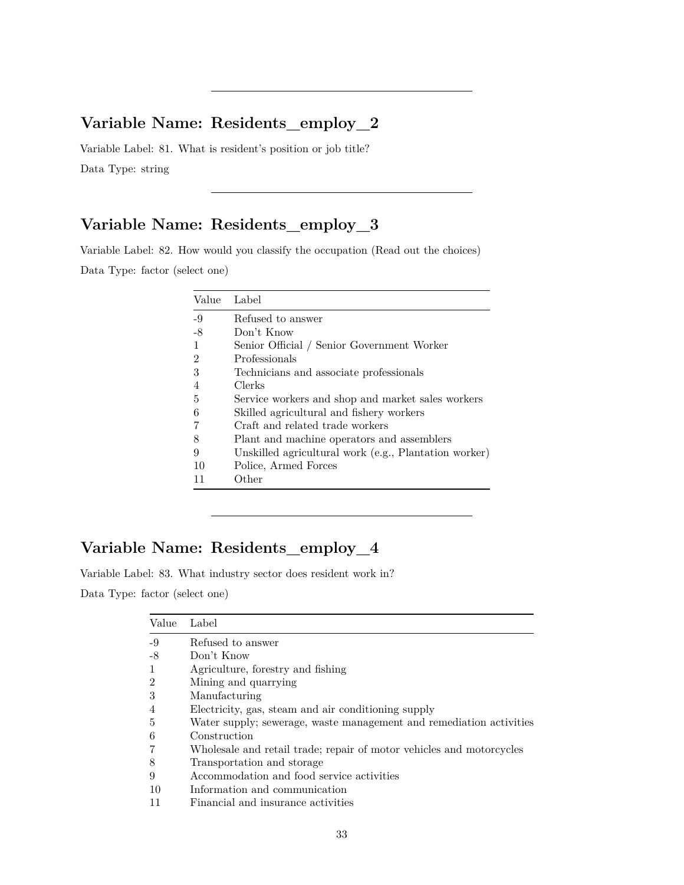# **Variable Name: Residents\_employ\_2**

Variable Label: 81. What is resident's position or job title? Data Type: string

# **Variable Name: Residents\_employ\_3**

Variable Label: 82. How would you classify the occupation (Read out the choices) Data Type: factor (select one)

| Value          | Label                                                 |
|----------------|-------------------------------------------------------|
| $-9$           | Refused to answer                                     |
| -8             | Don't Know                                            |
| -1             | Senior Official / Senior Government Worker            |
| $\overline{2}$ | Professionals                                         |
| 3              | Technicians and associate professionals               |
| $\overline{4}$ | Clerks                                                |
| 5              | Service workers and shop and market sales workers     |
| 6              | Skilled agricultural and fishery workers              |
|                | Craft and related trade workers                       |
| 8              | Plant and machine operators and assemblers            |
| 9              | Unskilled agricultural work (e.g., Plantation worker) |
| 10             | Police, Armed Forces                                  |
| 11             | Other                                                 |

# **Variable Name: Residents\_employ\_4**

Variable Label: 83. What industry sector does resident work in?

Data Type: factor (select one)

| Value          | Label                                                                |
|----------------|----------------------------------------------------------------------|
| $-9$           | Refused to answer                                                    |
| -8             | Don't Know                                                           |
| $\mathbf{1}$   | Agriculture, forestry and fishing                                    |
| $\overline{2}$ | Mining and quarrying                                                 |
| 3              | Manufacturing                                                        |
| 4              | Electricity, gas, steam and air conditioning supply                  |
| $\overline{5}$ | Water supply; sewerage, waste management and remediation activities  |
| 6              | Construction                                                         |
| 7              | Wholesale and retail trade; repair of motor vehicles and motorcycles |
| 8              | Transportation and storage                                           |
| 9              | Accommodation and food service activities                            |
| 10             | Information and communication                                        |
| 11             | Financial and insurance activities                                   |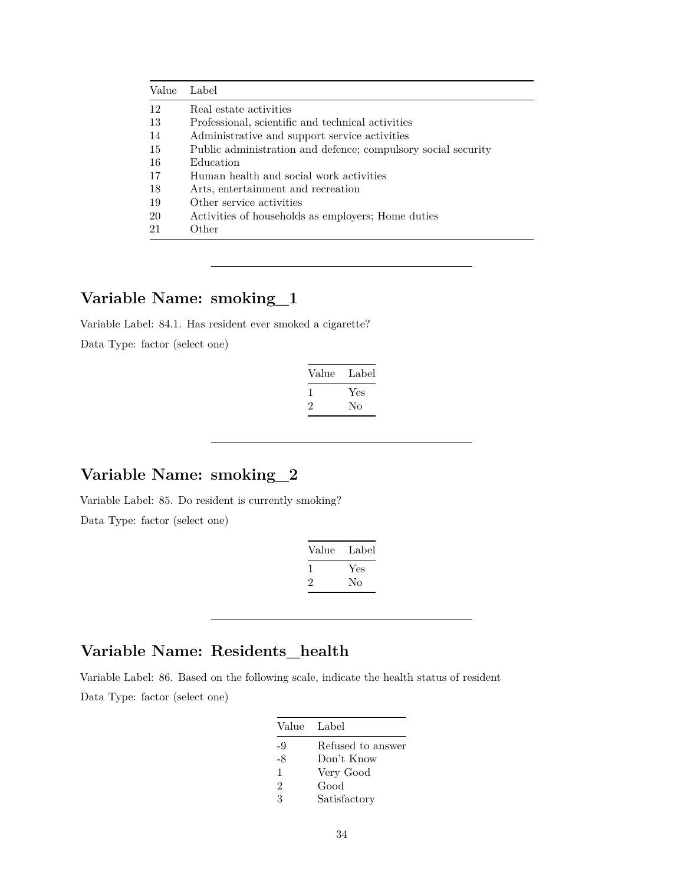| Value         | Label                                                         |
|---------------|---------------------------------------------------------------|
| 12            | Real estate activities                                        |
| -13           | Professional, scientific and technical activities             |
| -14           | Administrative and support service activities                 |
| -15           | Public administration and defence; compulsory social security |
| -16           | Education                                                     |
| -17           | Human health and social work activities                       |
| 18            | Arts, entertainment and recreation                            |
| -19           | Other service activities                                      |
| <sup>20</sup> | Activities of households as employers; Home duties            |
| 21            | Other                                                         |

# **Variable Name: smoking\_1**

Variable Label: 84.1. Has resident ever smoked a cigarette?

Data Type: factor (select one)

| Value        | Label |
|--------------|-------|
| $\mathbf{I}$ | Yes   |
| $\cdot$      | Nο    |

# **Variable Name: smoking\_2**

Variable Label: 85. Do resident is currently smoking?

Data Type: factor (select one)

| Value | Label |
|-------|-------|
| -1    | Yes   |
| '2    | Nο    |

# **Variable Name: Residents\_health**

Variable Label: 86. Based on the following scale, indicate the health status of resident Data Type: factor (select one)

| Value Label    |                   |
|----------------|-------------------|
| -9             | Refused to answer |
| $-8$           | Don't Know        |
| 1              | Very Good         |
| $\mathfrak{D}$ | Good              |
| 3              | Satisfactory      |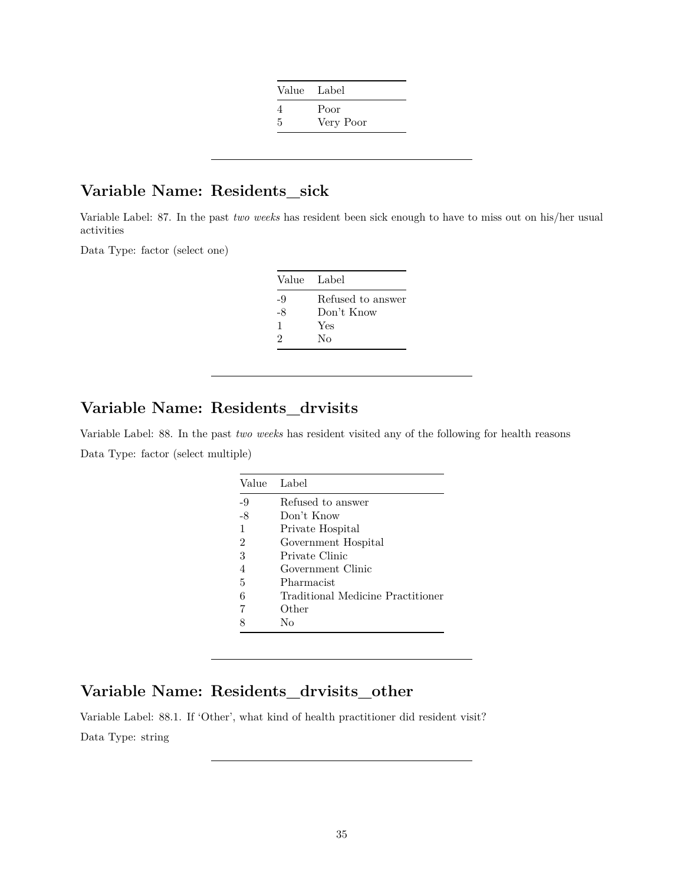| Value Label |           |
|-------------|-----------|
|             | Poor      |
| .5          | Very Poor |

### **Variable Name: Residents\_sick**

Variable Label: 87. In the past *two weeks* has resident been sick enough to have to miss out on his/her usual activities

Data Type: factor (select one)

| Value Label |                   |
|-------------|-------------------|
| -9          | Refused to answer |
| -8          | Don't Know        |
| 1           | Yes               |
| 2           | Nο                |

### **Variable Name: Residents\_drvisits**

Variable Label: 88. In the past *two weeks* has resident visited any of the following for health reasons Data Type: factor (select multiple)

| Value          | Label                             |
|----------------|-----------------------------------|
| -9             | Refused to answer                 |
| -8             | Don't Know                        |
| 1              | Private Hospital                  |
| $\overline{2}$ | Government Hospital               |
| 3              | Private Clinic                    |
| 4              | Government Clinic                 |
| 5              | Pharmacist                        |
| 6              | Traditional Medicine Practitioner |
| 7              | Other                             |
|                | Nο                                |

### **Variable Name: Residents\_drvisits\_other**

Variable Label: 88.1. If 'Other', what kind of health practitioner did resident visit? Data Type: string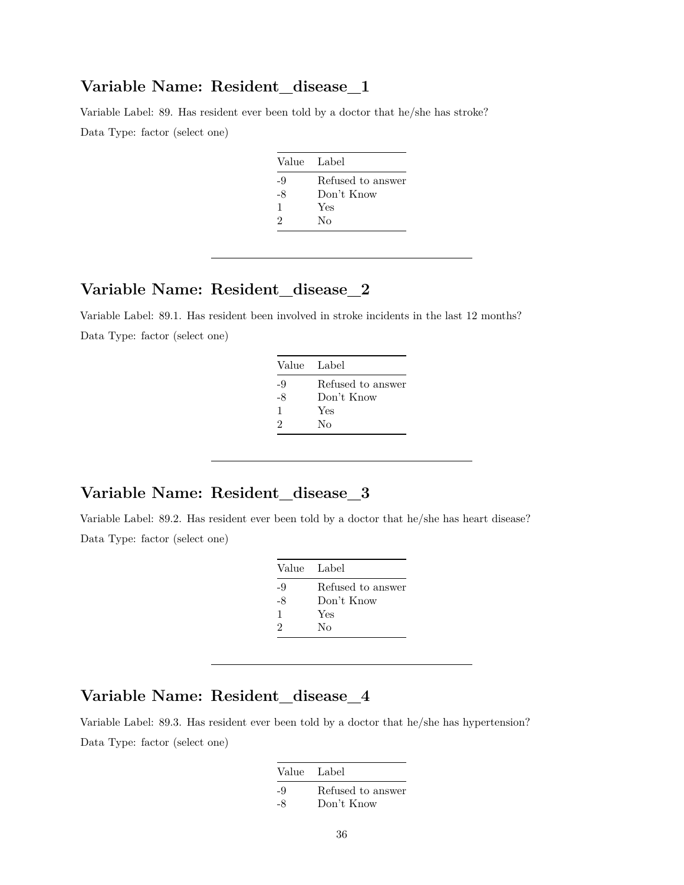#### **Variable Name: Resident\_disease\_1**

Variable Label: 89. Has resident ever been told by a doctor that he/she has stroke? Data Type: factor (select one)

| Value Label |                   |
|-------------|-------------------|
| -9          | Refused to answer |
| $-8$        | Don't Know        |
| 1           | Yes               |
| 2           | Nο                |

# **Variable Name: Resident\_disease\_2**

Variable Label: 89.1. Has resident been involved in stroke incidents in the last 12 months? Data Type: factor (select one)

| Value Label |                   |
|-------------|-------------------|
| -9          | Refused to answer |
| -8          | Don't Know        |
| 1           | Yes               |
| 2           | Nο                |

# **Variable Name: Resident\_disease\_3**

Variable Label: 89.2. Has resident ever been told by a doctor that he/she has heart disease? Data Type: factor (select one)

| Value Label                 |                   |
|-----------------------------|-------------------|
| -9                          | Refused to answer |
| -8                          | Don't Know        |
| 1                           | Yes               |
| $\mathcal{D}_{\mathcal{L}}$ | Nο                |

# **Variable Name: Resident\_disease\_4**

Variable Label: 89.3. Has resident ever been told by a doctor that he/she has hypertension? Data Type: factor (select one)

| Value Label |                   |
|-------------|-------------------|
| -9          | Refused to answer |
| -8          | Don't Know        |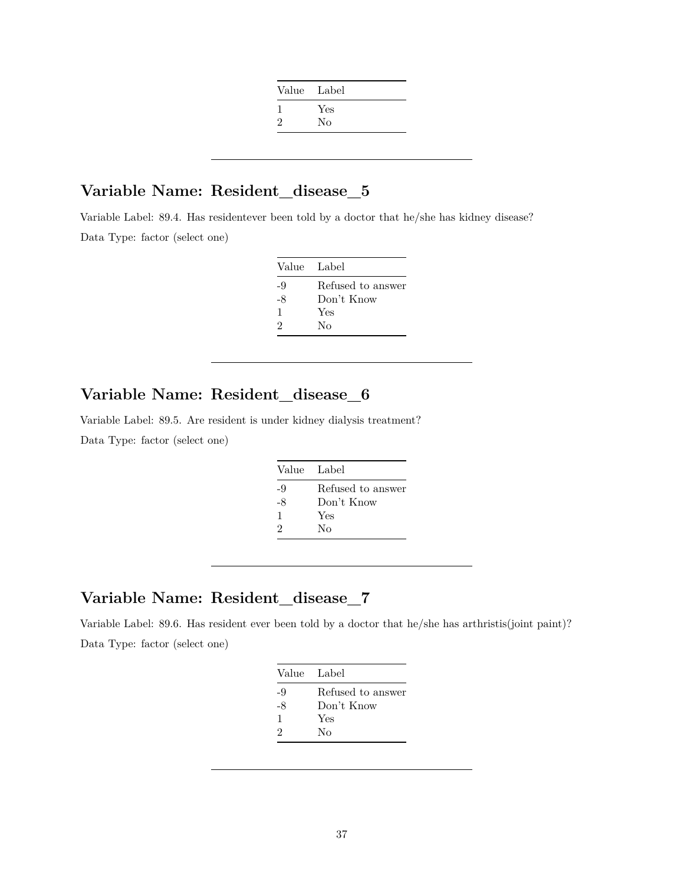| Value Label |
|-------------|
| Yes         |
| No          |
|             |

#### **Variable Name: Resident\_disease\_5**

Variable Label: 89.4. Has residentever been told by a doctor that he/she has kidney disease? Data Type: factor (select one)

| Value Label |                   |
|-------------|-------------------|
| -9          | Refused to answer |
| -8          | Don't Know        |
| 1           | Yes               |
| 9           | Nο                |

# **Variable Name: Resident\_disease\_6**

Variable Label: 89.5. Are resident is under kidney dialysis treatment? Data Type: factor (select one)

|    | Value Label       |
|----|-------------------|
| -9 | Refused to answer |
| -8 | Don't Know        |
| 1  | Yes               |
| 2  | Nο                |

# **Variable Name: Resident\_disease\_7**

Variable Label: 89.6. Has resident ever been told by a doctor that he/she has arthristis(joint paint)? Data Type: factor (select one)

| Refused to answer |
|-------------------|
|                   |
| Don't Know        |
| Yes               |
| Nο                |
|                   |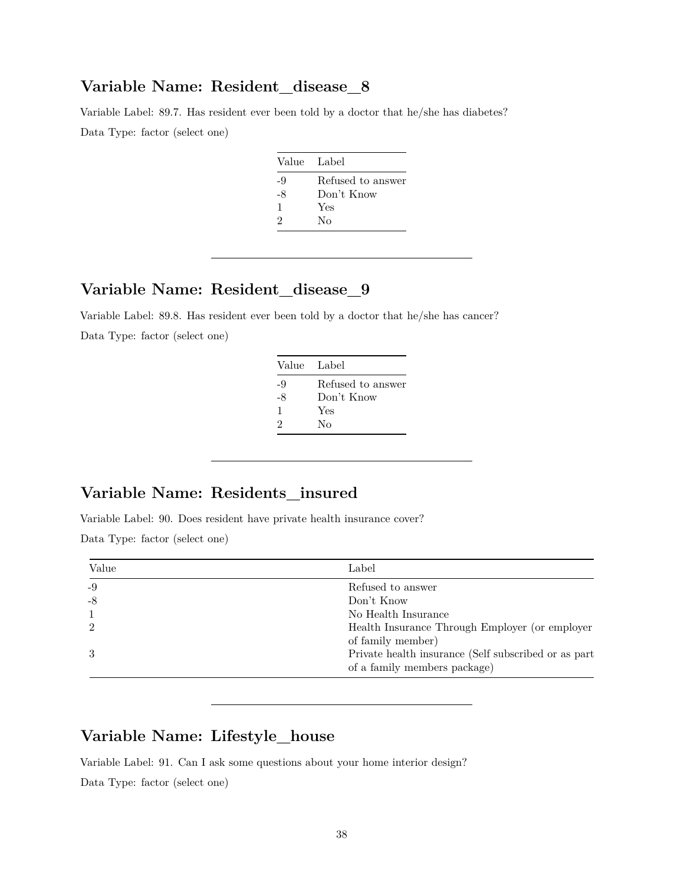#### **Variable Name: Resident\_disease\_8**

Variable Label: 89.7. Has resident ever been told by a doctor that he/she has diabetes? Data Type: factor (select one)

| Value Label |                   |
|-------------|-------------------|
| -9          | Refused to answer |
| -8          | Don't Know        |
| 1           | Yes               |
| 2           | Nο                |

# **Variable Name: Resident\_disease\_9**

Variable Label: 89.8. Has resident ever been told by a doctor that he/she has cancer? Data Type: factor (select one)

| Value Label |                   |
|-------------|-------------------|
| -9          | Refused to answer |
| -8          | Don't Know        |
| 1           | Yes               |
| 2           | Nο                |

# **Variable Name: Residents\_insured**

Variable Label: 90. Does resident have private health insurance cover? Data Type: factor (select one)

| Value          | Label                                                                                |
|----------------|--------------------------------------------------------------------------------------|
| $-9$           | Refused to answer                                                                    |
| $-8$           | Don't Know                                                                           |
|                | No Health Insurance                                                                  |
| $\mathfrak{D}$ | Health Insurance Through Employer (or employer                                       |
|                | of family member)                                                                    |
| 3              | Private health insurance (Self subscribed or as part<br>of a family members package) |

# **Variable Name: Lifestyle\_house**

Variable Label: 91. Can I ask some questions about your home interior design?

Data Type: factor (select one)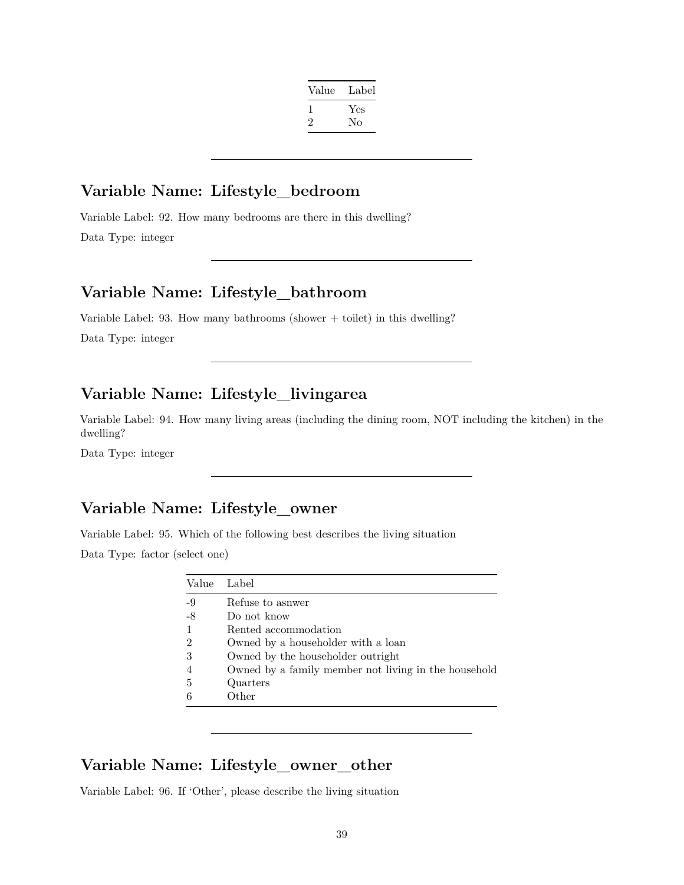| Label |
|-------|
| Yes   |
| No    |
|       |

#### **Variable Name: Lifestyle\_bedroom**

Variable Label: 92. How many bedrooms are there in this dwelling? Data Type: integer

#### **Variable Name: Lifestyle\_bathroom**

Variable Label: 93. How many bathrooms (shower  $+$  toilet) in this dwelling?

Data Type: integer

# **Variable Name: Lifestyle\_livingarea**

Variable Label: 94. How many living areas (including the dining room, NOT including the kitchen) in the dwelling?

Data Type: integer

### **Variable Name: Lifestyle\_owner**

Variable Label: 95. Which of the following best describes the living situation

Data Type: factor (select one)

| Value          | Label                                                |
|----------------|------------------------------------------------------|
| $-9$           | Refuse to asnwer                                     |
| -8             | Do not know                                          |
| 1              | Rented accommodation                                 |
| $\overline{2}$ | Owned by a householder with a loan                   |
| 3              | Owned by the householder outright                    |
| $\overline{4}$ | Owned by a family member not living in the household |
| 5              | Quarters                                             |
| 6              | Other                                                |

#### **Variable Name: Lifestyle\_owner\_other**

Variable Label: 96. If 'Other', please describe the living situation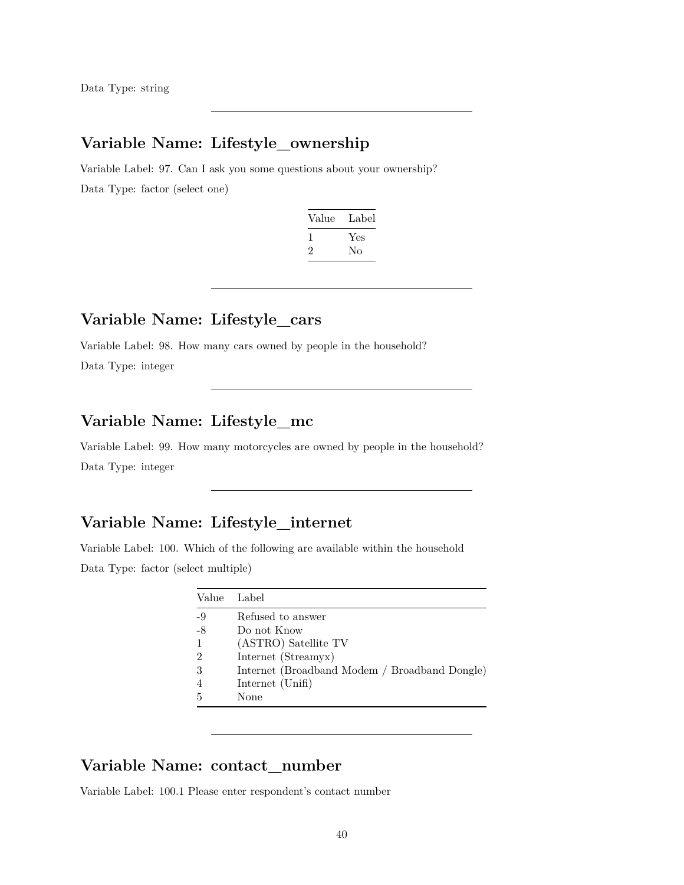# **Variable Name: Lifestyle\_ownership**

Variable Label: 97. Can I ask you some questions about your ownership? Data Type: factor (select one)

| Value | Label |
|-------|-------|
|       | Yes   |
| '2    | Nο    |

#### **Variable Name: Lifestyle\_cars**

Variable Label: 98. How many cars owned by people in the household?

Data Type: integer

# **Variable Name: Lifestyle\_mc**

Variable Label: 99. How many motorcycles are owned by people in the household? Data Type: integer

# **Variable Name: Lifestyle\_internet**

Variable Label: 100. Which of the following are available within the household Data Type: factor (select multiple)

| Value          | Label                                         |
|----------------|-----------------------------------------------|
| -9             | Refused to answer                             |
| $-8$           | Do not Know                                   |
| $\mathbf{1}$   | (ASTRO) Satellite TV                          |
| $\overline{2}$ | Internet (Streamyx)                           |
| 3              | Internet (Broadband Modem / Broadband Dongle) |
| $\overline{4}$ | Internet (Unifi)                              |
| .5             | None                                          |

# **Variable Name: contact\_number**

Variable Label: 100.1 Please enter respondent's contact number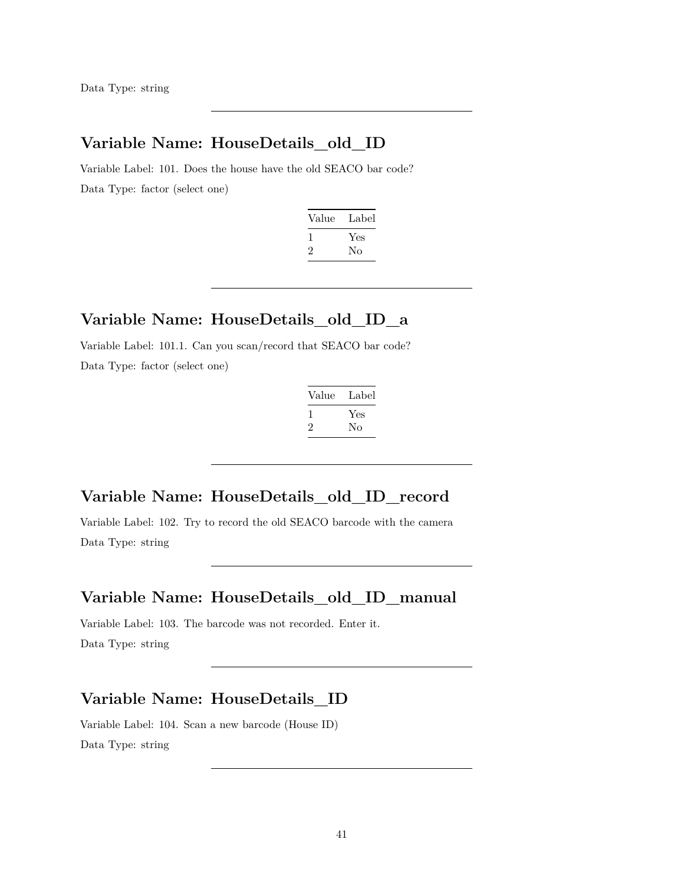Data Type: string

# **Variable Name: HouseDetails\_old\_ID**

Variable Label: 101. Does the house have the old SEACO bar code? Data Type: factor (select one)

| Value | Label |
|-------|-------|
|       | Yes   |
| ۰,    | Nο    |

#### **Variable Name: HouseDetails\_old\_ID\_a**

Variable Label: 101.1. Can you scan/record that SEACO bar code? Data Type: factor (select one)

| Value | Label |
|-------|-------|
|       | Yes   |
| ۰,    | No    |

### **Variable Name: HouseDetails\_old\_ID\_record**

Variable Label: 102. Try to record the old SEACO barcode with the camera Data Type: string

#### **Variable Name: HouseDetails\_old\_ID\_manual**

Variable Label: 103. The barcode was not recorded. Enter it. Data Type: string

# **Variable Name: HouseDetails\_ID**

Variable Label: 104. Scan a new barcode (House ID) Data Type: string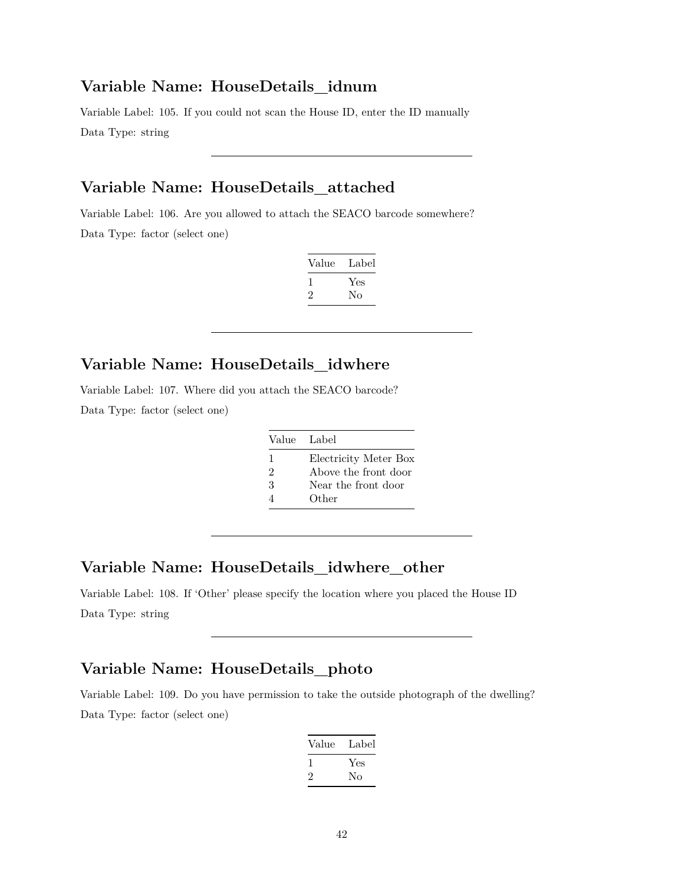#### **Variable Name: HouseDetails\_idnum**

Variable Label: 105. If you could not scan the House ID, enter the ID manually Data Type: string

# **Variable Name: HouseDetails\_attached**

Variable Label: 106. Are you allowed to attach the SEACO barcode somewhere? Data Type: factor (select one)

| Value   | Label |
|---------|-------|
| 1       | Yes   |
| $\cdot$ | Nο    |

# **Variable Name: HouseDetails\_idwhere**

Variable Label: 107. Where did you attach the SEACO barcode? Data Type: factor (select one)

| Value Label |                       |
|-------------|-----------------------|
| 1           | Electricity Meter Box |
| 2           | Above the front door  |
| 3           | Near the front door   |
|             | Other                 |

# **Variable Name: HouseDetails\_idwhere\_other**

Variable Label: 108. If 'Other' please specify the location where you placed the House ID Data Type: string

# **Variable Name: HouseDetails\_photo**

Variable Label: 109. Do you have permission to take the outside photograph of the dwelling? Data Type: factor (select one)

| Value        | Label |
|--------------|-------|
| $\mathbf{I}$ | Yes   |
| $\cdot$      | No    |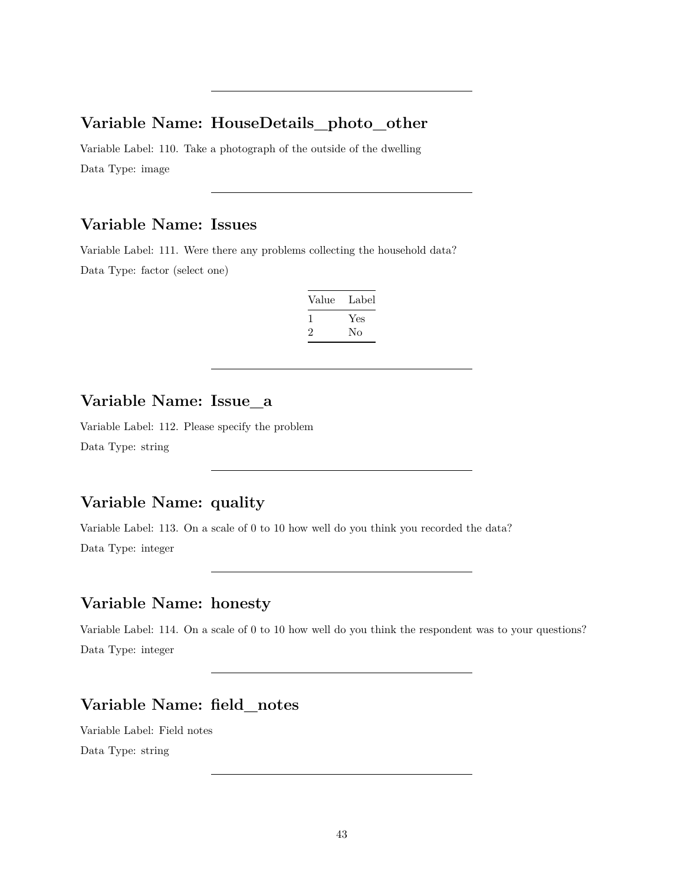#### **Variable Name: HouseDetails\_photo\_other**

Variable Label: 110. Take a photograph of the outside of the dwelling Data Type: image

## **Variable Name: Issues**

Variable Label: 111. Were there any problems collecting the household data? Data Type: factor (select one)

| Value | Label |
|-------|-------|
|       | Yes   |
| '2    | Nο    |

#### **Variable Name: Issue\_a**

Variable Label: 112. Please specify the problem Data Type: string

# **Variable Name: quality**

Variable Label: 113. On a scale of 0 to 10 how well do you think you recorded the data? Data Type: integer

### **Variable Name: honesty**

Variable Label: 114. On a scale of 0 to 10 how well do you think the respondent was to your questions? Data Type: integer

### **Variable Name: field\_notes**

Variable Label: Field notes Data Type: string